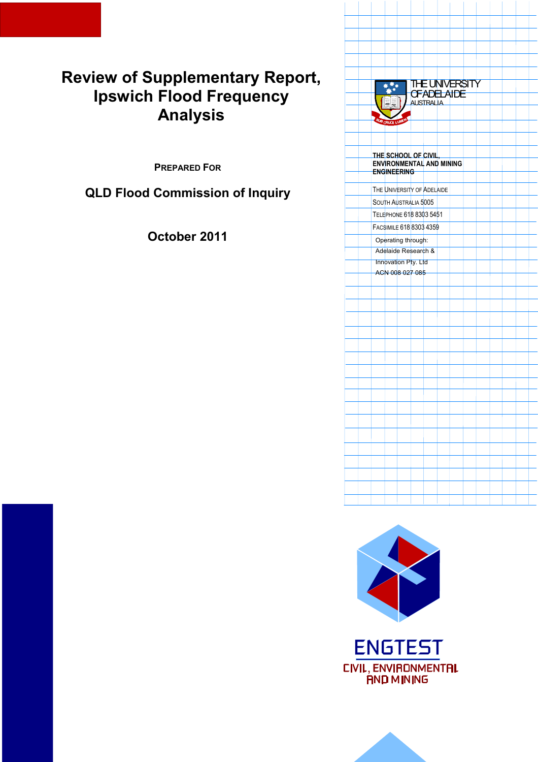# **Review of Supplementary Report, Ipswich Flood Frequency Analysis**

**PREPARED FOR**

**QLD Flood Commission of Inquiry** 





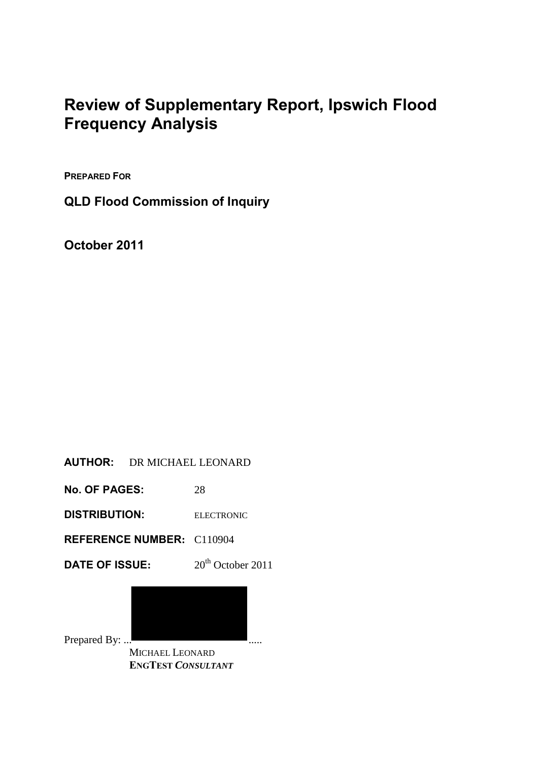# **Review of Supplementary Report, Ipswich Flood Frequency Analysis**

**PREPARED FOR**

**QLD Flood Commission of Inquiry** 

**October 2011** 

### **AUTHOR:** DR MICHAEL LEONARD

**No. OF PAGES:** 28

**DISTRIBUTION:** ELECTRONIC

**REFERENCE NUMBER:** C110904

**DATE OF ISSUE:**  $20^{\text{th}}$  October 2011

Prepared By: ...

 MICHAEL LEONARD  **ENGTEST** *CONSULTANT*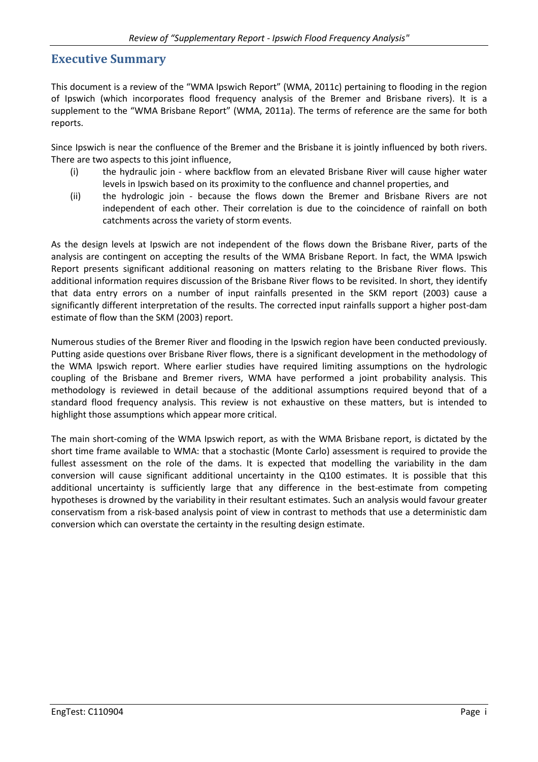#### **Executive Summary**

This document is a review of the "WMA Ipswich Report" (WMA, 2011c) pertaining to flooding in the region of Ipswich (which incorporates flood frequency analysis of the Bremer and Brisbane rivers). It is a supplement to the "WMA Brisbane Report" (WMA, 2011a). The terms of reference are the same for both reports.

Since Ipswich is near the confluence of the Bremer and the Brisbane it is jointly influenced by both rivers. There are two aspects to this joint influence,

- (i) the hydraulic join where backflow from an elevated Brisbane River will cause higher water levels in Ipswich based on its proximity to the confluence and channel properties, and
- (ii) the hydrologic join because the flows down the Bremer and Brisbane Rivers are not independent of each other. Their correlation is due to the coincidence of rainfall on both catchments across the variety of storm events.

As the design levels at Ipswich are not independent of the flows down the Brisbane River, parts of the analysis are contingent on accepting the results of the WMA Brisbane Report. In fact, the WMA Ipswich Report presents significant additional reasoning on matters relating to the Brisbane River flows. This additional information requires discussion of the Brisbane River flows to be revisited. In short, they identify that data entry errors on a number of input rainfalls presented in the SKM report (2003) cause a significantly different interpretation of the results. The corrected input rainfalls support a higher post-dam estimate of flow than the SKM (2003) report.

Numerous studies of the Bremer River and flooding in the Ipswich region have been conducted previously. Putting aside questions over Brisbane River flows, there is a significant development in the methodology of the WMA Ipswich report. Where earlier studies have required limiting assumptions on the hydrologic coupling of the Brisbane and Bremer rivers, WMA have performed a joint probability analysis. This methodology is reviewed in detail because of the additional assumptions required beyond that of a standard flood frequency analysis. This review is not exhaustive on these matters, but is intended to highlight those assumptions which appear more critical.

The main short-coming of the WMA Ipswich report, as with the WMA Brisbane report, is dictated by the short time frame available to WMA: that a stochastic (Monte Carlo) assessment is required to provide the fullest assessment on the role of the dams. It is expected that modelling the variability in the dam conversion will cause significant additional uncertainty in the Q100 estimates. It is possible that this additional uncertainty is sufficiently large that any difference in the best-estimate from competing hypotheses is drowned by the variability in their resultant estimates. Such an analysis would favour greater conservatism from a risk-based analysis point of view in contrast to methods that use a deterministic dam conversion which can overstate the certainty in the resulting design estimate.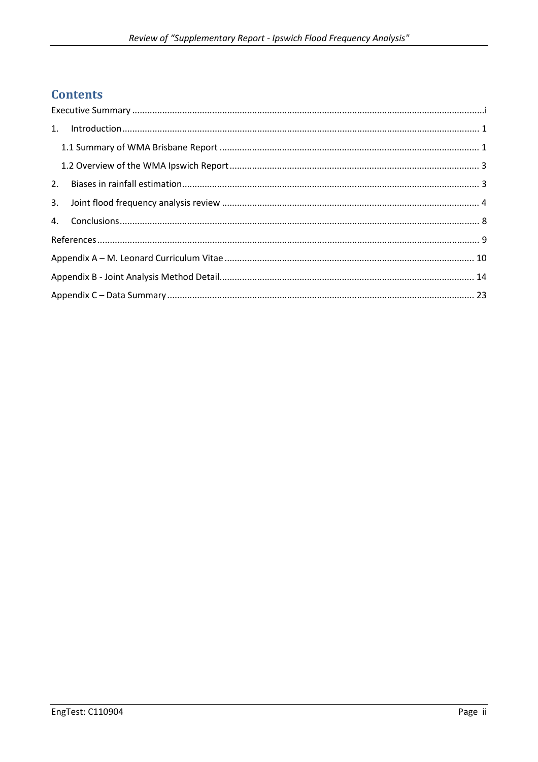# **Contents**

| 2. |  |  |  |  |  |  |  |  |
|----|--|--|--|--|--|--|--|--|
|    |  |  |  |  |  |  |  |  |
|    |  |  |  |  |  |  |  |  |
|    |  |  |  |  |  |  |  |  |
|    |  |  |  |  |  |  |  |  |
|    |  |  |  |  |  |  |  |  |
|    |  |  |  |  |  |  |  |  |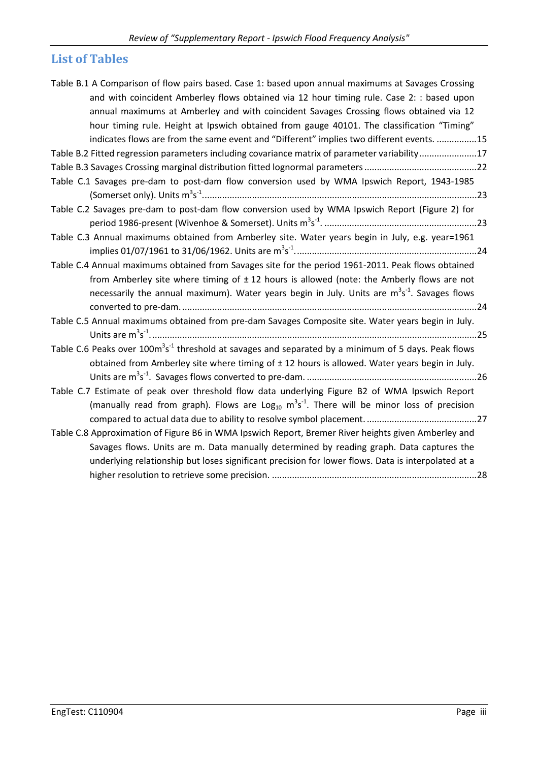# **List of Tables**

| Table B.1 A Comparison of flow pairs based. Case 1: based upon annual maximums at Savages Crossing          |
|-------------------------------------------------------------------------------------------------------------|
|                                                                                                             |
| and with coincident Amberley flows obtained via 12 hour timing rule. Case 2: : based upon                   |
| annual maximums at Amberley and with coincident Savages Crossing flows obtained via 12                      |
| hour timing rule. Height at Ipswich obtained from gauge 40101. The classification "Timing"                  |
| indicates flows are from the same event and "Different" implies two different events. 15                    |
| Table B.2 Fitted regression parameters including covariance matrix of parameter variability17               |
|                                                                                                             |
| Table C.1 Savages pre-dam to post-dam flow conversion used by WMA Ipswich Report, 1943-1985                 |
|                                                                                                             |
| Table C.2 Savages pre-dam to post-dam flow conversion used by WMA Ipswich Report (Figure 2) for             |
|                                                                                                             |
| Table C.3 Annual maximums obtained from Amberley site. Water years begin in July, e.g. year=1961            |
|                                                                                                             |
| Table C.4 Annual maximums obtained from Savages site for the period 1961-2011. Peak flows obtained          |
| from Amberley site where timing of $\pm$ 12 hours is allowed (note: the Amberly flows are not               |
| necessarily the annual maximum). Water years begin in July. Units are $m^3s^1$ . Savages flows              |
|                                                                                                             |
| Table C.5 Annual maximums obtained from pre-dam Savages Composite site. Water years begin in July.          |
|                                                                                                             |
|                                                                                                             |
| Table C.6 Peaks over $100m^3s^{-1}$ threshold at savages and separated by a minimum of 5 days. Peak flows   |
| obtained from Amberley site where timing of $\pm$ 12 hours is allowed. Water years begin in July.           |
|                                                                                                             |
| Table C.7 Estimate of peak over threshold flow data underlying Figure B2 of WMA Ipswich Report              |
| (manually read from graph). Flows are Log <sub>10</sub> $m^3s^{-1}$ . There will be minor loss of precision |
|                                                                                                             |
| Table C.8 Approximation of Figure B6 in WMA Ipswich Report, Bremer River heights given Amberley and         |
| Savages flows. Units are m. Data manually determined by reading graph. Data captures the                    |
| underlying relationship but loses significant precision for lower flows. Data is interpolated at a          |
|                                                                                                             |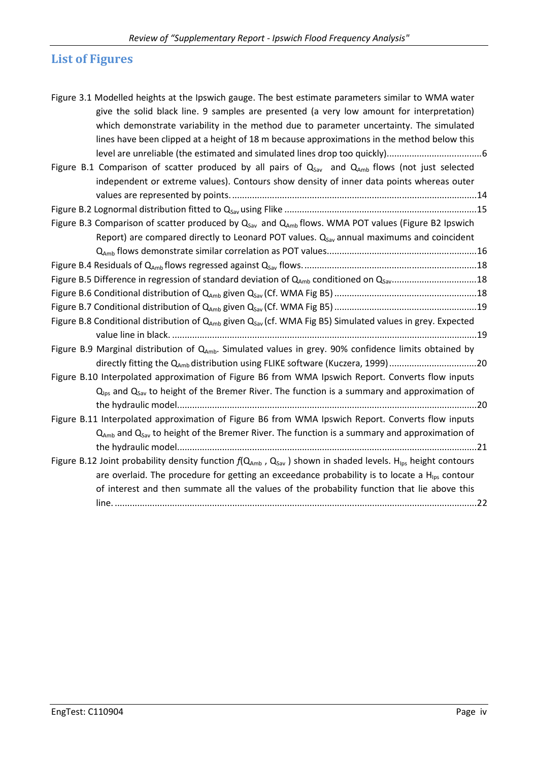# **List of Figures**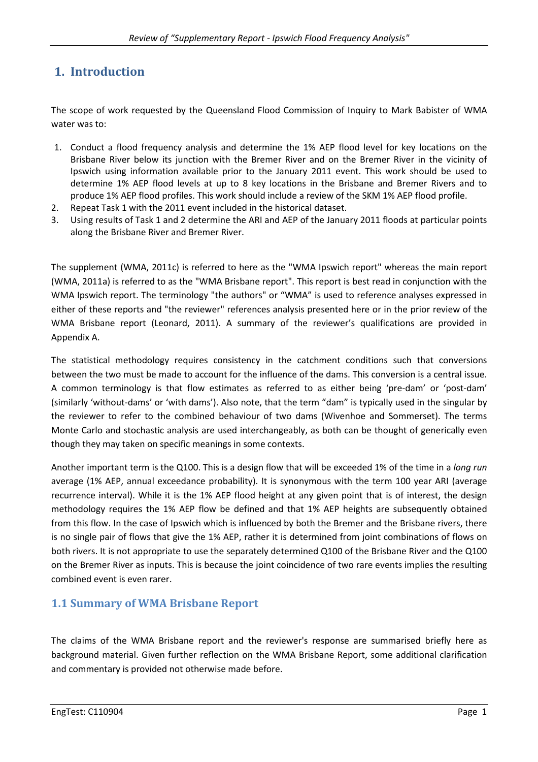# **1. Introduction**

The scope of work requested by the Queensland Flood Commission of Inquiry to Mark Babister of WMA water was to:

- 1. Conduct a flood frequency analysis and determine the 1% AEP flood level for key locations on the Brisbane River below its junction with the Bremer River and on the Bremer River in the vicinity of Ipswich using information available prior to the January 2011 event. This work should be used to determine 1% AEP flood levels at up to 8 key locations in the Brisbane and Bremer Rivers and to produce 1% AEP flood profiles. This work should include a review of the SKM 1% AEP flood profile.
- 2. Repeat Task 1 with the 2011 event included in the historical dataset.
- 3. Using results of Task 1 and 2 determine the ARI and AEP of the January 2011 floods at particular points along the Brisbane River and Bremer River.

The supplement (WMA, 2011c) is referred to here as the "WMA Ipswich report" whereas the main report (WMA, 2011a) is referred to as the "WMA Brisbane report". This report is best read in conjunction with the WMA Ipswich report. The terminology "the authors" or "WMA" is used to reference analyses expressed in either of these reports and "the reviewer" references analysis presented here or in the prior review of the WMA Brisbane report (Leonard, 2011). A summary of the reviewer's qualifications are provided in Appendix A.

The statistical methodology requires consistency in the catchment conditions such that conversions between the two must be made to account for the influence of the dams. This conversion is a central issue. A common terminology is that flow estimates as referred to as either being 'pre-dam' or 'post-dam' (similarly 'without-dams' or 'with dams'). Also note, that the term "dam" is typically used in the singular by the reviewer to refer to the combined behaviour of two dams (Wivenhoe and Sommerset). The terms Monte Carlo and stochastic analysis are used interchangeably, as both can be thought of generically even though they may taken on specific meanings in some contexts.

Another important term is the Q100. This is a design flow that will be exceeded 1% of the time in a *long run* average (1% AEP, annual exceedance probability). It is synonymous with the term 100 year ARI (average recurrence interval). While it is the 1% AEP flood height at any given point that is of interest, the design methodology requires the 1% AEP flow be defined and that 1% AEP heights are subsequently obtained from this flow. In the case of Ipswich which is influenced by both the Bremer and the Brisbane rivers, there is no single pair of flows that give the 1% AEP, rather it is determined from joint combinations of flows on both rivers. It is not appropriate to use the separately determined Q100 of the Brisbane River and the Q100 on the Bremer River as inputs. This is because the joint coincidence of two rare events implies the resulting combined event is even rarer.

#### **1.1 Summary of WMA Brisbane Report**

The claims of the WMA Brisbane report and the reviewer's response are summarised briefly here as background material. Given further reflection on the WMA Brisbane Report, some additional clarification and commentary is provided not otherwise made before.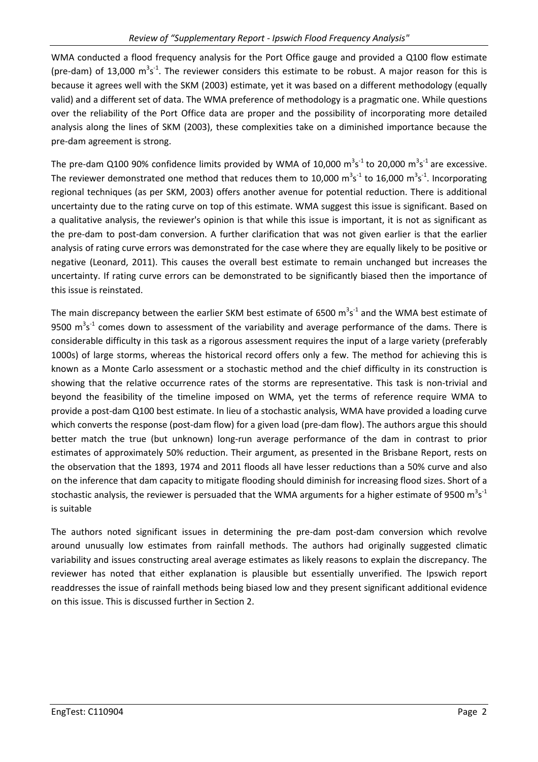WMA conducted a flood frequency analysis for the Port Office gauge and provided a Q100 flow estimate (pre-dam) of 13,000  $m^3s^{\text{-}1}$ . The reviewer considers this estimate to be robust. A major reason for this is because it agrees well with the SKM (2003) estimate, yet it was based on a different methodology (equally valid) and a different set of data. The WMA preference of methodology is a pragmatic one. While questions over the reliability of the Port Office data are proper and the possibility of incorporating more detailed analysis along the lines of SKM (2003), these complexities take on a diminished importance because the pre-dam agreement is strong.

The pre-dam Q100 90% confidence limits provided by WMA of 10,000  $\text{m}^3\text{s}^{-1}$  to 20,000  $\text{m}^3\text{s}^{-1}$  are excessive. The reviewer demonstrated one method that reduces them to 10,000  $\text{m}^3\text{s}^{-1}$  to 16,000  $\text{m}^3\text{s}^{-1}$ . Incorporating regional techniques (as per SKM, 2003) offers another avenue for potential reduction. There is additional uncertainty due to the rating curve on top of this estimate. WMA suggest this issue is significant. Based on a qualitative analysis, the reviewer's opinion is that while this issue is important, it is not as significant as the pre-dam to post-dam conversion. A further clarification that was not given earlier is that the earlier analysis of rating curve errors was demonstrated for the case where they are equally likely to be positive or negative (Leonard, 2011). This causes the overall best estimate to remain unchanged but increases the uncertainty. If rating curve errors can be demonstrated to be significantly biased then the importance of this issue is reinstated.

The main discrepancy between the earlier SKM best estimate of 6500  $m^3s^1$  and the WMA best estimate of 9500  $\mathrm{m}^3\mathrm{s}^{-1}$  comes down to assessment of the variability and average performance of the dams. There is considerable difficulty in this task as a rigorous assessment requires the input of a large variety (preferably 1000s) of large storms, whereas the historical record offers only a few. The method for achieving this is known as a Monte Carlo assessment or a stochastic method and the chief difficulty in its construction is showing that the relative occurrence rates of the storms are representative. This task is non-trivial and beyond the feasibility of the timeline imposed on WMA, yet the terms of reference require WMA to provide a post-dam Q100 best estimate. In lieu of a stochastic analysis, WMA have provided a loading curve which converts the response (post-dam flow) for a given load (pre-dam flow). The authors argue this should better match the true (but unknown) long-run average performance of the dam in contrast to prior estimates of approximately 50% reduction. Their argument, as presented in the Brisbane Report, rests on the observation that the 1893, 1974 and 2011 floods all have lesser reductions than a 50% curve and also on the inference that dam capacity to mitigate flooding should diminish for increasing flood sizes. Short of a stochastic analysis, the reviewer is persuaded that the WMA arguments for a higher estimate of 9500  $\text{m}^3\text{s}^{-1}$ is suitable

The authors noted significant issues in determining the pre-dam post-dam conversion which revolve around unusually low estimates from rainfall methods. The authors had originally suggested climatic variability and issues constructing areal average estimates as likely reasons to explain the discrepancy. The reviewer has noted that either explanation is plausible but essentially unverified. The Ipswich report readdresses the issue of rainfall methods being biased low and they present significant additional evidence on this issue. This is discussed further in Section 2.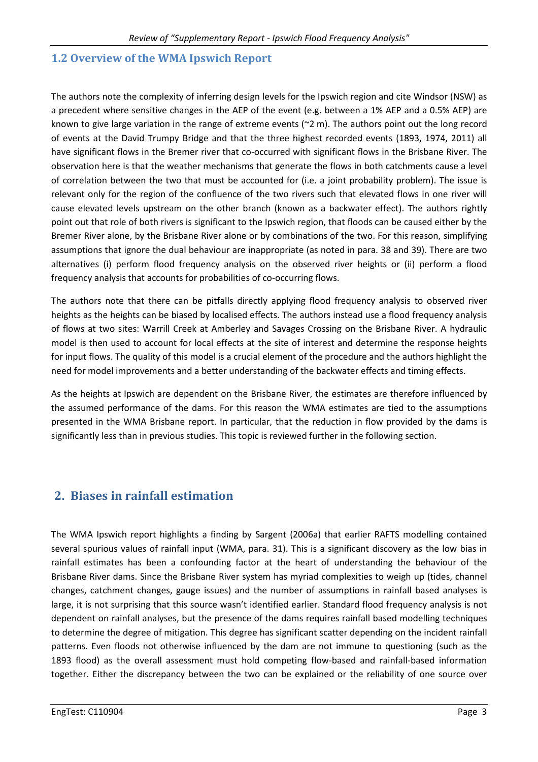#### **1.2 Overview of the WMA Ipswich Report**

The authors note the complexity of inferring design levels for the Ipswich region and cite Windsor (NSW) as a precedent where sensitive changes in the AEP of the event (e.g. between a 1% AEP and a 0.5% AEP) are known to give large variation in the range of extreme events (~2 m). The authors point out the long record of events at the David Trumpy Bridge and that the three highest recorded events (1893, 1974, 2011) all have significant flows in the Bremer river that co-occurred with significant flows in the Brisbane River. The observation here is that the weather mechanisms that generate the flows in both catchments cause a level of correlation between the two that must be accounted for (i.e. a joint probability problem). The issue is relevant only for the region of the confluence of the two rivers such that elevated flows in one river will cause elevated levels upstream on the other branch (known as a backwater effect). The authors rightly point out that role of both rivers is significant to the Ipswich region, that floods can be caused either by the Bremer River alone, by the Brisbane River alone or by combinations of the two. For this reason, simplifying assumptions that ignore the dual behaviour are inappropriate (as noted in para. 38 and 39). There are two alternatives (i) perform flood frequency analysis on the observed river heights or (ii) perform a flood frequency analysis that accounts for probabilities of co-occurring flows.

The authors note that there can be pitfalls directly applying flood frequency analysis to observed river heights as the heights can be biased by localised effects. The authors instead use a flood frequency analysis of flows at two sites: Warrill Creek at Amberley and Savages Crossing on the Brisbane River. A hydraulic model is then used to account for local effects at the site of interest and determine the response heights for input flows. The quality of this model is a crucial element of the procedure and the authors highlight the need for model improvements and a better understanding of the backwater effects and timing effects.

As the heights at Ipswich are dependent on the Brisbane River, the estimates are therefore influenced by the assumed performance of the dams. For this reason the WMA estimates are tied to the assumptions presented in the WMA Brisbane report. In particular, that the reduction in flow provided by the dams is significantly less than in previous studies. This topic is reviewed further in the following section.

### **2. Biases in rainfall estimation**

The WMA Ipswich report highlights a finding by Sargent (2006a) that earlier RAFTS modelling contained several spurious values of rainfall input (WMA, para. 31). This is a significant discovery as the low bias in rainfall estimates has been a confounding factor at the heart of understanding the behaviour of the Brisbane River dams. Since the Brisbane River system has myriad complexities to weigh up (tides, channel changes, catchment changes, gauge issues) and the number of assumptions in rainfall based analyses is large, it is not surprising that this source wasn't identified earlier. Standard flood frequency analysis is not dependent on rainfall analyses, but the presence of the dams requires rainfall based modelling techniques to determine the degree of mitigation. This degree has significant scatter depending on the incident rainfall patterns. Even floods not otherwise influenced by the dam are not immune to questioning (such as the 1893 flood) as the overall assessment must hold competing flow-based and rainfall-based information together. Either the discrepancy between the two can be explained or the reliability of one source over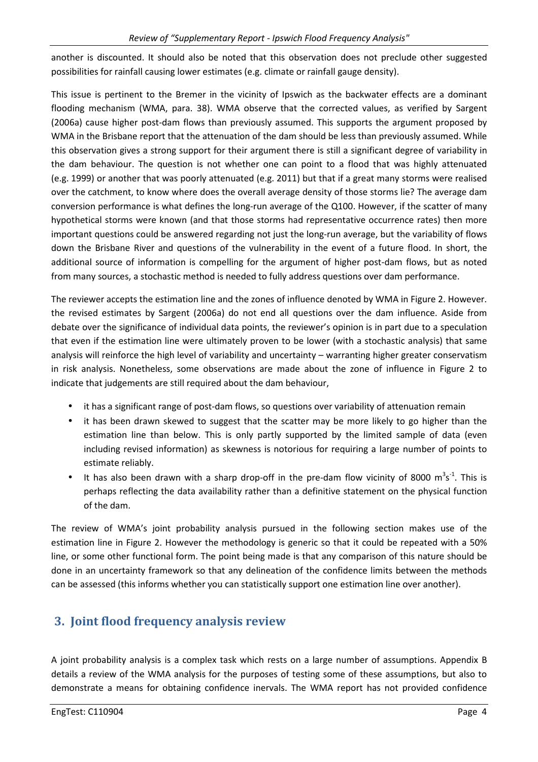another is discounted. It should also be noted that this observation does not preclude other suggested possibilities for rainfall causing lower estimates (e.g. climate or rainfall gauge density).

This issue is pertinent to the Bremer in the vicinity of Ipswich as the backwater effects are a dominant flooding mechanism (WMA, para. 38). WMA observe that the corrected values, as verified by Sargent (2006a) cause higher post-dam flows than previously assumed. This supports the argument proposed by WMA in the Brisbane report that the attenuation of the dam should be less than previously assumed. While this observation gives a strong support for their argument there is still a significant degree of variability in the dam behaviour. The question is not whether one can point to a flood that was highly attenuated (e.g. 1999) or another that was poorly attenuated (e.g. 2011) but that if a great many storms were realised over the catchment, to know where does the overall average density of those storms lie? The average dam conversion performance is what defines the long-run average of the Q100. However, if the scatter of many hypothetical storms were known (and that those storms had representative occurrence rates) then more important questions could be answered regarding not just the long-run average, but the variability of flows down the Brisbane River and questions of the vulnerability in the event of a future flood. In short, the additional source of information is compelling for the argument of higher post-dam flows, but as noted from many sources, a stochastic method is needed to fully address questions over dam performance.

The reviewer accepts the estimation line and the zones of influence denoted by WMA in Figure 2. However. the revised estimates by Sargent (2006a) do not end all questions over the dam influence. Aside from debate over the significance of individual data points, the reviewer's opinion is in part due to a speculation that even if the estimation line were ultimately proven to be lower (with a stochastic analysis) that same analysis will reinforce the high level of variability and uncertainty – warranting higher greater conservatism in risk analysis. Nonetheless, some observations are made about the zone of influence in Figure 2 to indicate that judgements are still required about the dam behaviour,

- it has a significant range of post-dam flows, so questions over variability of attenuation remain
- it has been drawn skewed to suggest that the scatter may be more likely to go higher than the estimation line than below. This is only partly supported by the limited sample of data (even including revised information) as skewness is notorious for requiring a large number of points to estimate reliably.
- It has also been drawn with a sharp drop-off in the pre-dam flow vicinity of 8000  $\text{m}^3\text{s}^{-1}$ . This is perhaps reflecting the data availability rather than a definitive statement on the physical function of the dam.

The review of WMA's joint probability analysis pursued in the following section makes use of the estimation line in Figure 2. However the methodology is generic so that it could be repeated with a 50% line, or some other functional form. The point being made is that any comparison of this nature should be done in an uncertainty framework so that any delineation of the confidence limits between the methods can be assessed (this informs whether you can statistically support one estimation line over another).

# **3. Joint flood frequency analysis review**

A joint probability analysis is a complex task which rests on a large number of assumptions. Appendix B details a review of the WMA analysis for the purposes of testing some of these assumptions, but also to demonstrate a means for obtaining confidence inervals. The WMA report has not provided confidence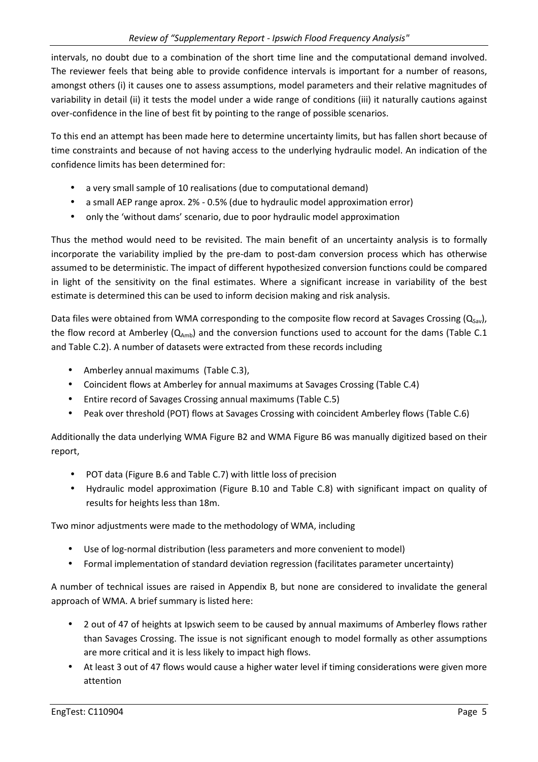intervals, no doubt due to a combination of the short time line and the computational demand involved. The reviewer feels that being able to provide confidence intervals is important for a number of reasons, amongst others (i) it causes one to assess assumptions, model parameters and their relative magnitudes of variability in detail (ii) it tests the model under a wide range of conditions (iii) it naturally cautions against over-confidence in the line of best fit by pointing to the range of possible scenarios.

To this end an attempt has been made here to determine uncertainty limits, but has fallen short because of time constraints and because of not having access to the underlying hydraulic model. An indication of the confidence limits has been determined for:

- a very small sample of 10 realisations (due to computational demand)
- a small AEP range aprox. 2% 0.5% (due to hydraulic model approximation error)
- only the 'without dams' scenario, due to poor hydraulic model approximation

Thus the method would need to be revisited. The main benefit of an uncertainty analysis is to formally incorporate the variability implied by the pre-dam to post-dam conversion process which has otherwise assumed to be deterministic. The impact of different hypothesized conversion functions could be compared in light of the sensitivity on the final estimates. Where a significant increase in variability of the best estimate is determined this can be used to inform decision making and risk analysis.

Data files were obtained from WMA corresponding to the composite flow record at Savages Crossing ( $Q_{Sav}$ ), the flow record at Amberley  $(Q_{Amb})$  and the conversion functions used to account for the dams (Table C.1) and Table C.2). A number of datasets were extracted from these records including

- Amberley annual maximums (Table C.3),
- Coincident flows at Amberley for annual maximums at Savages Crossing (Table C.4)
- Entire record of Savages Crossing annual maximums (Table C.5)
- Peak over threshold (POT) flows at Savages Crossing with coincident Amberley flows (Table C.6)

Additionally the data underlying WMA Figure B2 and WMA Figure B6 was manually digitized based on their report,

- POT data (Figure B.6 and Table C.7) with little loss of precision
- Hydraulic model approximation (Figure B.10 and Table C.8) with significant impact on quality of results for heights less than 18m.

Two minor adjustments were made to the methodology of WMA, including

- Use of log-normal distribution (less parameters and more convenient to model)
- Formal implementation of standard deviation regression (facilitates parameter uncertainty)

A number of technical issues are raised in Appendix B, but none are considered to invalidate the general approach of WMA. A brief summary is listed here:

- 2 out of 47 of heights at Ipswich seem to be caused by annual maximums of Amberley flows rather than Savages Crossing. The issue is not significant enough to model formally as other assumptions are more critical and it is less likely to impact high flows.
- At least 3 out of 47 flows would cause a higher water level if timing considerations were given more attention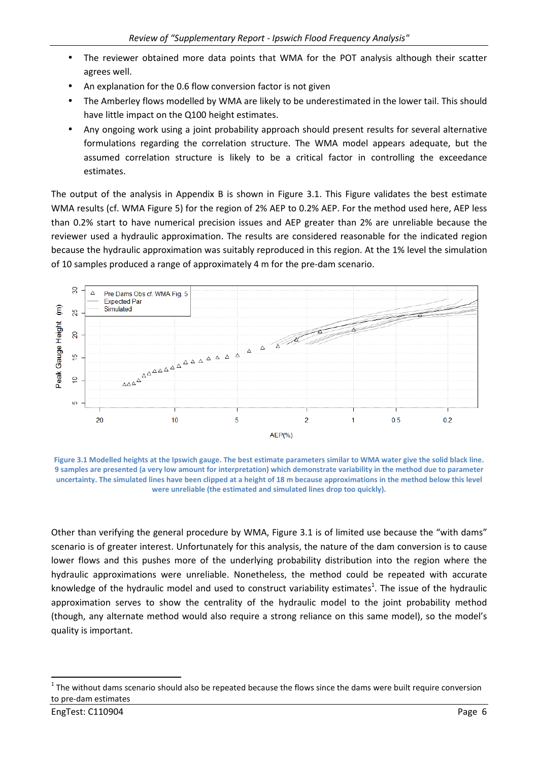- The reviewer obtained more data points that WMA for the POT analysis although their scatter agrees well.
- An explanation for the 0.6 flow conversion factor is not given
- The Amberley flows modelled by WMA are likely to be underestimated in the lower tail. This should have little impact on the Q100 height estimates.
- Any ongoing work using a joint probability approach should present results for several alternative formulations regarding the correlation structure. The WMA model appears adequate, but the assumed correlation structure is likely to be a critical factor in controlling the exceedance estimates.

The output of the analysis in Appendix B is shown in Figure 3.1. This Figure validates the best estimate WMA results (cf. WMA Figure 5) for the region of 2% AEP to 0.2% AEP. For the method used here, AEP less than 0.2% start to have numerical precision issues and AEP greater than 2% are unreliable because the reviewer used a hydraulic approximation. The results are considered reasonable for the indicated region because the hydraulic approximation was suitably reproduced in this region. At the 1% level the simulation of 10 samples produced a range of approximately 4 m for the pre-dam scenario.



**Figure 3.1 Modelled heights at the Ipswich gauge. The best estimate parameters similar to WMA water give the solid black line. 9 samples are presented (a very low amount for interpretation) which demonstrate variability in the method due to parameter uncertainty. The simulated lines have been clipped at a height of 18 m because approximations in the method below this level were unreliable (the estimated and simulated lines drop too quickly).** 

Other than verifying the general procedure by WMA, Figure 3.1 is of limited use because the "with dams" scenario is of greater interest. Unfortunately for this analysis, the nature of the dam conversion is to cause lower flows and this pushes more of the underlying probability distribution into the region where the hydraulic approximations were unreliable. Nonetheless, the method could be repeated with accurate knowledge of the hydraulic model and used to construct variability estimates<sup>1</sup>. The issue of the hydraulic approximation serves to show the centrality of the hydraulic model to the joint probability method (though, any alternate method would also require a strong reliance on this same model), so the model's quality is important.

l

 $1$  The without dams scenario should also be repeated because the flows since the dams were built require conversion to pre-dam estimates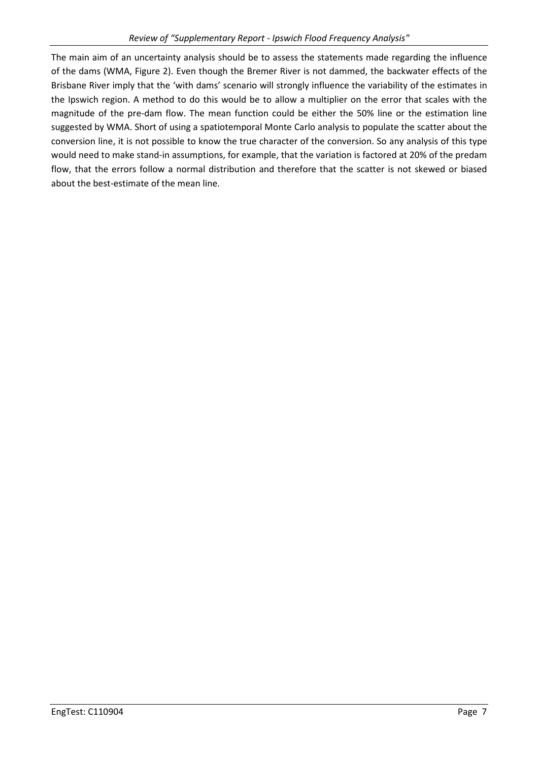The main aim of an uncertainty analysis should be to assess the statements made regarding the influence of the dams (WMA, Figure 2). Even though the Bremer River is not dammed, the backwater effects of the Brisbane River imply that the 'with dams' scenario will strongly influence the variability of the estimates in the Ipswich region. A method to do this would be to allow a multiplier on the error that scales with the magnitude of the pre-dam flow. The mean function could be either the 50% line or the estimation line suggested by WMA. Short of using a spatiotemporal Monte Carlo analysis to populate the scatter about the conversion line, it is not possible to know the true character of the conversion. So any analysis of this type would need to make stand-in assumptions, for example, that the variation is factored at 20% of the predam flow, that the errors follow a normal distribution and therefore that the scatter is not skewed or biased about the best-estimate of the mean line.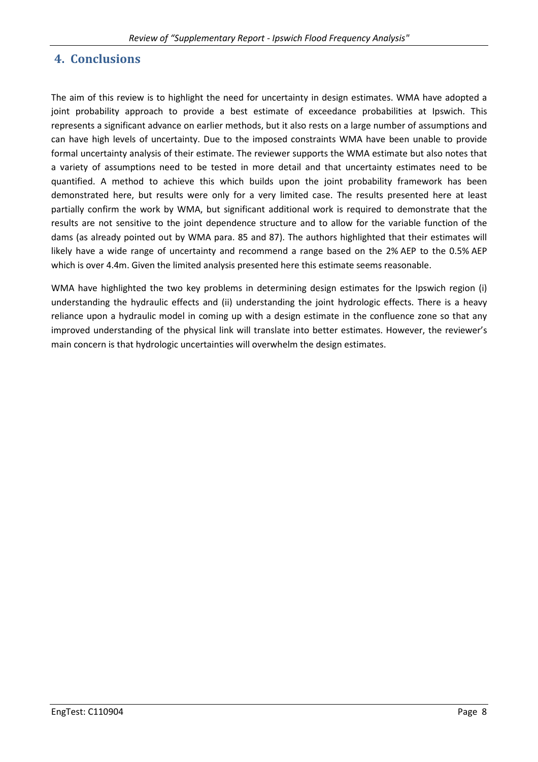#### **4. Conclusions**

The aim of this review is to highlight the need for uncertainty in design estimates. WMA have adopted a joint probability approach to provide a best estimate of exceedance probabilities at Ipswich. This represents a significant advance on earlier methods, but it also rests on a large number of assumptions and can have high levels of uncertainty. Due to the imposed constraints WMA have been unable to provide formal uncertainty analysis of their estimate. The reviewer supports the WMA estimate but also notes that a variety of assumptions need to be tested in more detail and that uncertainty estimates need to be quantified. A method to achieve this which builds upon the joint probability framework has been demonstrated here, but results were only for a very limited case. The results presented here at least partially confirm the work by WMA, but significant additional work is required to demonstrate that the results are not sensitive to the joint dependence structure and to allow for the variable function of the dams (as already pointed out by WMA para. 85 and 87). The authors highlighted that their estimates will likely have a wide range of uncertainty and recommend a range based on the 2% AEP to the 0.5% AEP which is over 4.4m. Given the limited analysis presented here this estimate seems reasonable.

WMA have highlighted the two key problems in determining design estimates for the Ipswich region (i) understanding the hydraulic effects and (ii) understanding the joint hydrologic effects. There is a heavy reliance upon a hydraulic model in coming up with a design estimate in the confluence zone so that any improved understanding of the physical link will translate into better estimates. However, the reviewer's main concern is that hydrologic uncertainties will overwhelm the design estimates.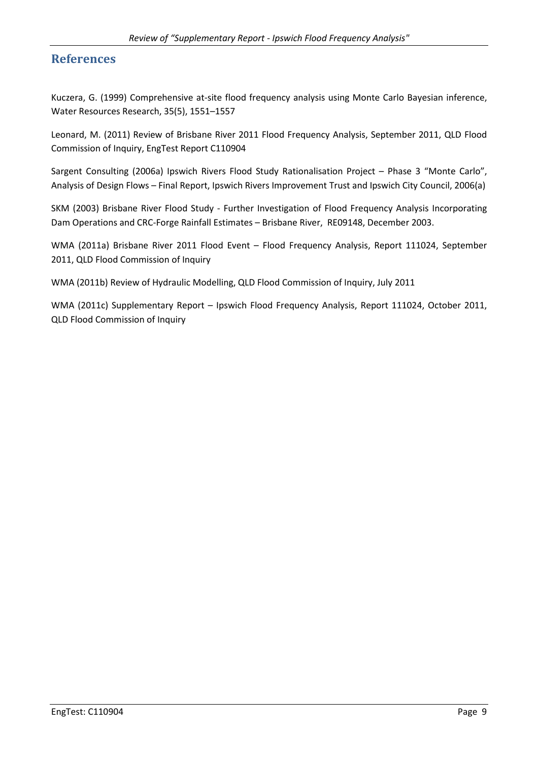#### **References**

Kuczera, G. (1999) Comprehensive at-site flood frequency analysis using Monte Carlo Bayesian inference, Water Resources Research, 35(5), 1551–1557

Leonard, M. (2011) Review of Brisbane River 2011 Flood Frequency Analysis, September 2011, QLD Flood Commission of Inquiry, EngTest Report C110904

Sargent Consulting (2006a) Ipswich Rivers Flood Study Rationalisation Project – Phase 3 "Monte Carlo", Analysis of Design Flows – Final Report, Ipswich Rivers Improvement Trust and Ipswich City Council, 2006(a)

SKM (2003) Brisbane River Flood Study - Further Investigation of Flood Frequency Analysis Incorporating Dam Operations and CRC-Forge Rainfall Estimates – Brisbane River, RE09148, December 2003.

WMA (2011a) Brisbane River 2011 Flood Event – Flood Frequency Analysis, Report 111024, September 2011, QLD Flood Commission of Inquiry

WMA (2011b) Review of Hydraulic Modelling, QLD Flood Commission of Inquiry, July 2011

WMA (2011c) Supplementary Report – Ipswich Flood Frequency Analysis, Report 111024, October 2011, QLD Flood Commission of Inquiry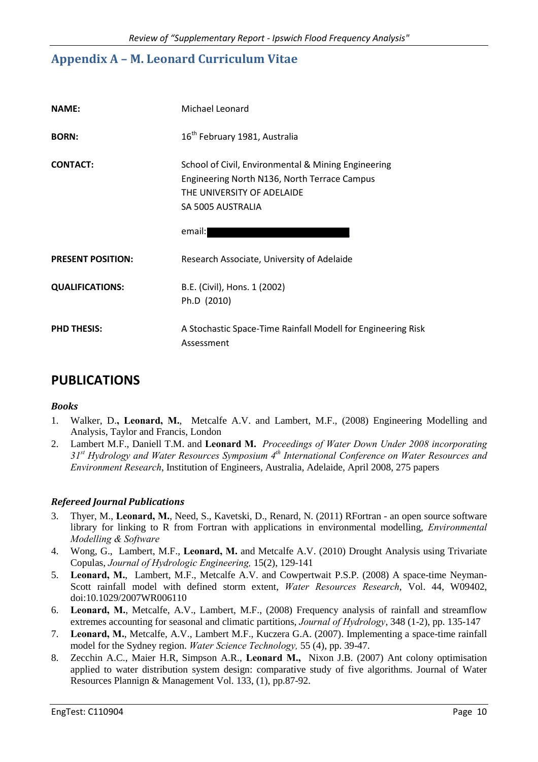### **Appendix A – M. Leonard Curriculum Vitae**

| <b>NAME:</b>             | Michael Leonard                                                                                                                                                  |
|--------------------------|------------------------------------------------------------------------------------------------------------------------------------------------------------------|
| <b>BORN:</b>             | 16 <sup>th</sup> February 1981, Australia                                                                                                                        |
| <b>CONTACT:</b>          | School of Civil, Environmental & Mining Engineering<br>Engineering North N136, North Terrace Campus<br>THE UNIVERSITY OF ADELAIDE<br>SA 5005 AUSTRALIA<br>email: |
| <b>PRESENT POSITION:</b> | Research Associate, University of Adelaide                                                                                                                       |
| <b>QUALIFICATIONS:</b>   | B.E. (Civil), Hons. 1 (2002)<br>Ph.D (2010)                                                                                                                      |
| <b>PHD THESIS:</b>       | A Stochastic Space-Time Rainfall Modell for Engineering Risk<br>Assessment                                                                                       |

### **PUBLICATIONS**

#### *Books*

- 1. Walker, D.**, Leonard, M.**, Metcalfe A.V. and Lambert, M.F., (2008) Engineering Modelling and Analysis, Taylor and Francis, London
- 2. Lambert M.F., Daniell T.M. and **Leonard M.** *Proceedings of Water Down Under 2008 incorporating 31st Hydrology and Water Resources Symposium 4th International Conference on Water Resources and Environment Research*, Institution of Engineers, Australia, Adelaide, April 2008, 275 papers

#### *Refereed Journal Publications*

- 3. Thyer, M., **Leonard, M.**, Need, S., Kavetski, D., Renard, N. (2011) RFortran an open source software library for linking to R from Fortran with applications in environmental modelling, *Environmental Modelling & Software*
- 4. Wong, G., Lambert, M.F., **Leonard, M.** and Metcalfe A.V. (2010) Drought Analysis using Trivariate Copulas, *Journal of Hydrologic Engineering,* 15(2), 129-141
- 5. **Leonard, M.**, Lambert, M.F., Metcalfe A.V. and Cowpertwait P.S.P. (2008) A space-time Neyman-Scott rainfall model with defined storm extent, *Water Resources Research*, Vol. 44, W09402, doi:10.1029/2007WR006110
- 6. **Leonard, M.**, Metcalfe, A.V., Lambert, M.F., (2008) Frequency analysis of rainfall and streamflow extremes accounting for seasonal and climatic partitions, *Journal of Hydrology*, 348 (1-2), pp. 135-147
- 7. **Leonard, M.**, Metcalfe, A.V., Lambert M.F., Kuczera G.A. (2007). Implementing a space-time rainfall model for the Sydney region. *Water Science Technology,* 55 (4), pp. 39-47.
- 8. Zecchin A.C., Maier H.R, Simpson A.R., **Leonard M.,** Nixon J.B. (2007) Ant colony optimisation applied to water distribution system design: comparative study of five algorithms. Journal of Water Resources Plannign & Management Vol. 133, (1), pp.87-92.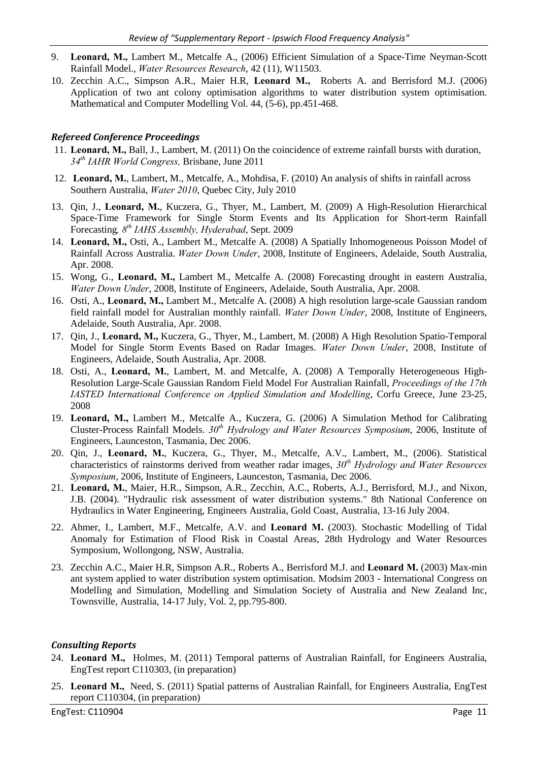- 9. **Leonard, M.,** Lambert M., Metcalfe A., (2006) Efficient Simulation of a Space-Time Neyman-Scott Rainfall Model., *Water Resources Research*, 42 (11), W11503.
- 10. Zecchin A.C., Simpson A.R., Maier H.R, **Leonard M.,** Roberts A. and Berrisford M.J. (2006) Application of two ant colony optimisation algorithms to water distribution system optimisation. Mathematical and Computer Modelling Vol. 44, (5-6), pp.451-468.

#### *Refereed Conference Proceedings*

- 11. **Leonard, M.,** Ball, J., Lambert, M. (2011) On the coincidence of extreme rainfall bursts with duration, *34th IAHR World Congress,* Brisbane, June 2011
- 12. **Leonard, M.**, Lambert, M., Metcalfe, A., Mohdisa, F. (2010) An analysis of shifts in rainfall across Southern Australia, *Water 2010*, Quebec City, July 2010
- 13. Qin, J., **Leonard, M.**, Kuczera, G., Thyer, M., Lambert, M. (2009) A High-Resolution Hierarchical Space-Time Framework for Single Storm Events and Its Application for Short-term Rainfall Forecasting*, 8th IAHS Assembly, Hyderabad*, Sept. 2009
- 14. **Leonard, M.,** Osti, A., Lambert M., Metcalfe A. (2008) A Spatially Inhomogeneous Poisson Model of Rainfall Across Australia. *Water Down Under*, 2008, Institute of Engineers, Adelaide, South Australia, Apr. 2008.
- 15. Wong, G., **Leonard, M.,** Lambert M., Metcalfe A. (2008) Forecasting drought in eastern Australia, *Water Down Under*, 2008, Institute of Engineers, Adelaide, South Australia, Apr. 2008.
- 16. Osti, A., **Leonard, M.,** Lambert M., Metcalfe A. (2008) A high resolution large-scale Gaussian random field rainfall model for Australian monthly rainfall. *Water Down Under*, 2008, Institute of Engineers, Adelaide, South Australia, Apr. 2008.
- 17. Qin, J., **Leonard, M.,** Kuczera, G., Thyer, M., Lambert, M. (2008) A High Resolution Spatio-Temporal Model for Single Storm Events Based on Radar Images. *Water Down Under*, 2008, Institute of Engineers, Adelaide, South Australia, Apr. 2008.
- 18. Osti, A., **Leonard, M.**, Lambert, M. and Metcalfe, A. (2008) A Temporally Heterogeneous High-Resolution Large-Scale Gaussian Random Field Model For Australian Rainfall, *Proceedings of the 17th IASTED International Conference on Applied Simulation and Modelling*, Corfu Greece, June 23-25, 2008
- 19. **Leonard, M.,** Lambert M., Metcalfe A., Kuczera, G. (2006) A Simulation Method for Calibrating Cluster-Process Rainfall Models. *30th Hydrology and Water Resources Symposium*, 2006, Institute of Engineers, Launceston, Tasmania, Dec 2006.
- 20. Qin, J., **Leonard, M.**, Kuczera, G., Thyer, M., Metcalfe, A.V., Lambert, M., (2006). Statistical characteristics of rainstorms derived from weather radar images, *30th Hydrology and Water Resources Symposium*, 2006, Institute of Engineers, Launceston, Tasmania, Dec 2006.
- 21. **Leonard, M.**, Maier, H.R., Simpson, A.R., Zecchin, A.C., Roberts, A.J., Berrisford, M.J., and Nixon, J.B. (2004). "Hydraulic risk assessment of water distribution systems." 8th National Conference on Hydraulics in Water Engineering, Engineers Australia, Gold Coast, Australia, 13-16 July 2004.
- 22. Ahmer, I., Lambert, M.F., Metcalfe, A.V. and **Leonard M.** (2003). Stochastic Modelling of Tidal Anomaly for Estimation of Flood Risk in Coastal Areas, 28th Hydrology and Water Resources Symposium, Wollongong, NSW, Australia.
- 23. Zecchin A.C., Maier H.R, Simpson A.R., Roberts A., Berrisford M.J. and **Leonard M.** (2003) Max-min ant system applied to water distribution system optimisation. Modsim 2003 - International Congress on Modelling and Simulation, Modelling and Simulation Society of Australia and New Zealand Inc, Townsville, Australia, 14-17 July, Vol. 2, pp.795-800.

#### *Consulting Reports*

- 24. **Leonard M.,** Holmes, M. (2011) Temporal patterns of Australian Rainfall, for Engineers Australia, EngTest report C110303, (in preparation)
- 25. **Leonard M.,** Need, S. (2011) Spatial patterns of Australian Rainfall, for Engineers Australia, EngTest report C110304, (in preparation)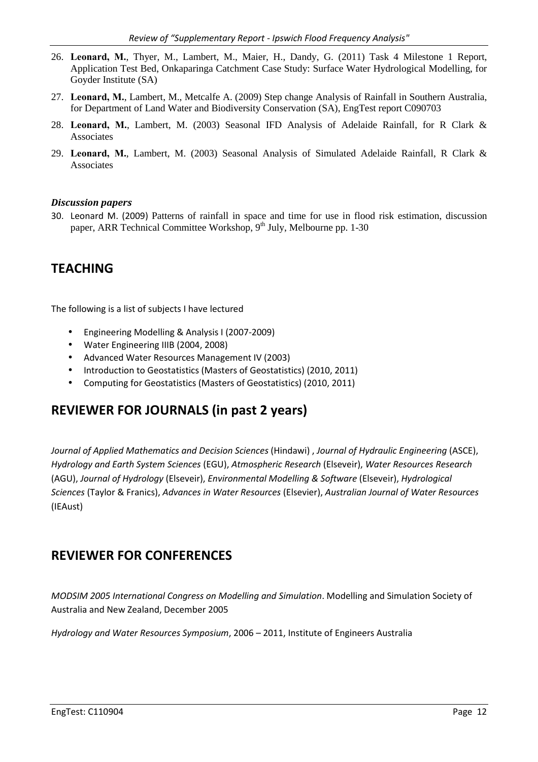- 26. **Leonard, M.**, Thyer, M., Lambert, M., Maier, H., Dandy, G. (2011) Task 4 Milestone 1 Report, Application Test Bed, Onkaparinga Catchment Case Study: Surface Water Hydrological Modelling, for Goyder Institute (SA)
- 27. **Leonard, M.**, Lambert, M., Metcalfe A. (2009) Step change Analysis of Rainfall in Southern Australia, for Department of Land Water and Biodiversity Conservation (SA), EngTest report C090703
- 28. **Leonard, M.**, Lambert, M. (2003) Seasonal IFD Analysis of Adelaide Rainfall, for R Clark & Associates
- 29. **Leonard, M.**, Lambert, M. (2003) Seasonal Analysis of Simulated Adelaide Rainfall, R Clark & Associates

#### *Discussion papers*

30. Leonard M. (2009) Patterns of rainfall in space and time for use in flood risk estimation, discussion paper, ARR Technical Committee Workshop, 9<sup>th</sup> July, Melbourne pp. 1-30

### **TEACHING**

The following is a list of subjects I have lectured

- Engineering Modelling & Analysis I (2007-2009)
- Water Engineering IIIB (2004, 2008)
- Advanced Water Resources Management IV (2003)
- Introduction to Geostatistics (Masters of Geostatistics) (2010, 2011)
- Computing for Geostatistics (Masters of Geostatistics) (2010, 2011)

### **REVIEWER FOR JOURNALS (in past 2 years)**

*Journal of Applied Mathematics and Decision Sciences* (Hindawi) , *Journal of Hydraulic Engineering* (ASCE), *Hydrology and Earth System Sciences* (EGU), *Atmospheric Research* (Elseveir), *Water Resources Research* (AGU), *Journal of Hydrology* (Elseveir), *Environmental Modelling & Software* (Elseveir), *Hydrological Sciences* (Taylor & Franics), *Advances in Water Resources* (Elsevier), *Australian Journal of Water Resources* (IEAust)

### **REVIEWER FOR CONFERENCES**

*MODSIM 2005 International Congress on Modelling and Simulation*. Modelling and Simulation Society of Australia and New Zealand, December 2005

*Hydrology and Water Resources Symposium*, 2006 – 2011, Institute of Engineers Australia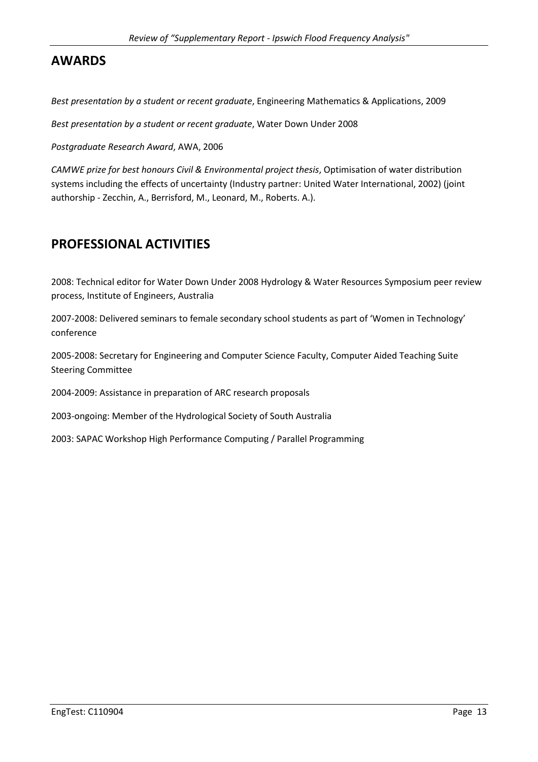## **AWARDS**

*Best presentation by a student or recent graduate*, Engineering Mathematics & Applications, 2009

*Best presentation by a student or recent graduate*, Water Down Under 2008

*Postgraduate Research Award*, AWA, 2006

*CAMWE prize for best honours Civil & Environmental project thesis*, Optimisation of water distribution systems including the effects of uncertainty (Industry partner: United Water International, 2002) (joint authorship - Zecchin, A., Berrisford, M., Leonard, M., Roberts. A.).

## **PROFESSIONAL ACTIVITIES**

2008: Technical editor for Water Down Under 2008 Hydrology & Water Resources Symposium peer review process, Institute of Engineers, Australia

2007-2008: Delivered seminars to female secondary school students as part of 'Women in Technology' conference

2005-2008: Secretary for Engineering and Computer Science Faculty, Computer Aided Teaching Suite Steering Committee

2004-2009: Assistance in preparation of ARC research proposals

2003-ongoing: Member of the Hydrological Society of South Australia

2003: SAPAC Workshop High Performance Computing / Parallel Programming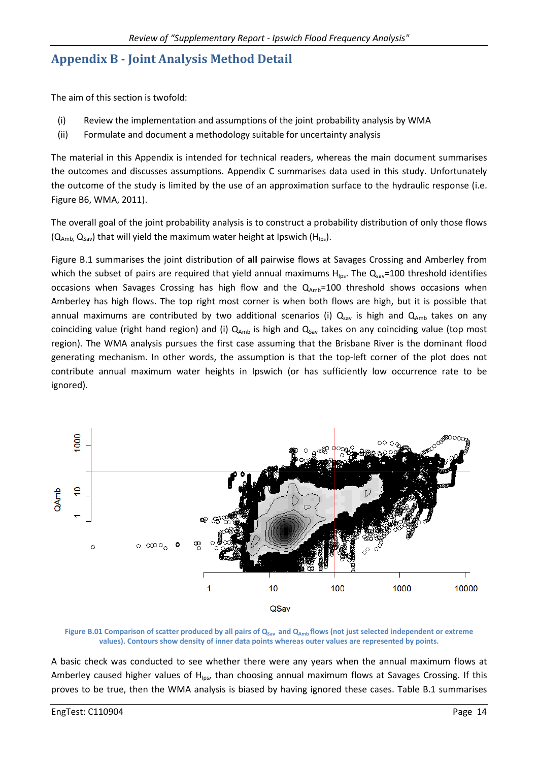## **Appendix B - Joint Analysis Method Detail**

The aim of this section is twofold:

- (i) Review the implementation and assumptions of the joint probability analysis by WMA
- (ii) Formulate and document a methodology suitable for uncertainty analysis

The material in this Appendix is intended for technical readers, whereas the main document summarises the outcomes and discusses assumptions. Appendix C summarises data used in this study. Unfortunately the outcome of the study is limited by the use of an approximation surface to the hydraulic response (i.e. Figure B6, WMA, 2011).

The overall goal of the joint probability analysis is to construct a probability distribution of only those flows  $(Q<sub>Amb</sub>, Q<sub>Sav</sub>)$  that will yield the maximum water height at Ipswich (H<sub>Ips</sub>).

Figure B.1 summarises the joint distribution of **all** pairwise flows at Savages Crossing and Amberley from which the subset of pairs are required that yield annual maximums  $H_{\text{los}}$ . The  $Q_{\text{sav}}$ =100 threshold identifies occasions when Savages Crossing has high flow and the  $Q_{Amb}=100$  threshold shows occasions when Amberley has high flows. The top right most corner is when both flows are high, but it is possible that annual maximums are contributed by two additional scenarios (i)  $Q_{\text{sav}}$  is high and  $Q_{\text{Amb}}$  takes on any coinciding value (right hand region) and (i)  $Q_{amb}$  is high and  $Q_{Sav}$  takes on any coinciding value (top most region). The WMA analysis pursues the first case assuming that the Brisbane River is the dominant flood generating mechanism. In other words, the assumption is that the top-left corner of the plot does not contribute annual maximum water heights in Ipswich (or has sufficiently low occurrence rate to be ignored).



**Figure B.01 Comparison of scatter produced by all pairs of QSav and QAmb flows (not just selected independent or extreme values). Contours show density of inner data points whereas outer values are represented by points.** 

A basic check was conducted to see whether there were any years when the annual maximum flows at Amberley caused higher values of H<sub>Ips</sub>, than choosing annual maximum flows at Savages Crossing. If this proves to be true, then the WMA analysis is biased by having ignored these cases. Table B.1 summarises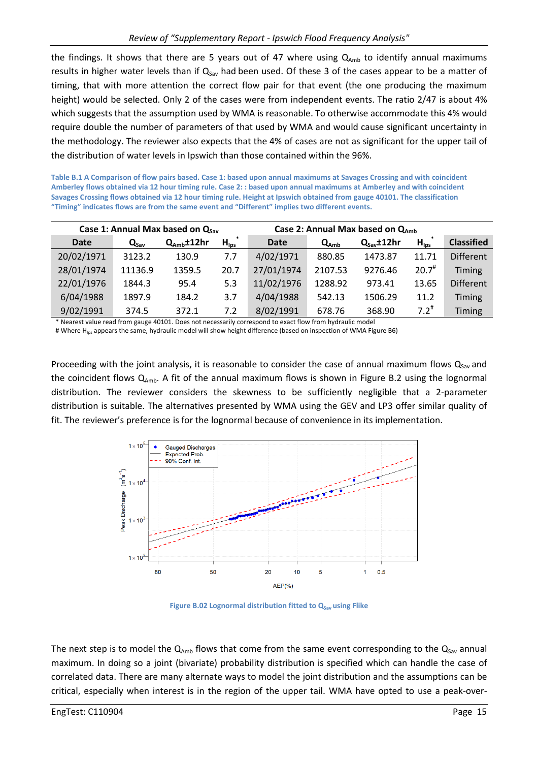the findings. It shows that there are 5 years out of 47 where using  $Q_{amb}$  to identify annual maximums results in higher water levels than if  $Q_{Sav}$  had been used. Of these 3 of the cases appear to be a matter of timing, that with more attention the correct flow pair for that event (the one producing the maximum height) would be selected. Only 2 of the cases were from independent events. The ratio 2/47 is about 4% which suggests that the assumption used by WMA is reasonable. To otherwise accommodate this 4% would require double the number of parameters of that used by WMA and would cause significant uncertainty in the methodology. The reviewer also expects that the 4% of cases are not as significant for the upper tail of the distribution of water levels in Ipswich than those contained within the 96%.

**Table B.1 A Comparison of flow pairs based. Case 1: based upon annual maximums at Savages Crossing and with coincident Amberley flows obtained via 12 hour timing rule. Case 2: : based upon annual maximums at Amberley and with coincident Savages Crossing flows obtained via 12 hour timing rule. Height at Ipswich obtained from gauge 40101. The classification "Timing" indicates flows are from the same event and "Different" implies two different events.** 

|             |                  | Case 1: Annual Max based on $Q_{sav}$ |                  | Case 2: Annual Max based on $Q_{amb}$ |           |                        |                  |                   |  |
|-------------|------------------|---------------------------------------|------------------|---------------------------------------|-----------|------------------------|------------------|-------------------|--|
| <b>Date</b> | $Q_{\text{sav}}$ | $Q_{\rm Amb}$ ±12hr                   | $H_{\text{lps}}$ | <b>Date</b>                           | $Q_{Amb}$ | $Q_{\text{Sav}}$ ±12hr | $H_{\text{lps}}$ | <b>Classified</b> |  |
| 20/02/1971  | 3123.2           | 130.9                                 | 7.7              | 4/02/1971                             | 880.85    | 1473.87                | 11.71            | <b>Different</b>  |  |
| 28/01/1974  | 11136.9          | 1359.5                                | 20.7             | 27/01/1974                            | 2107.53   | 9276.46                | $20.7^{#}$       | <b>Timing</b>     |  |
| 22/01/1976  | 1844.3           | 95.4                                  | 5.3              | 11/02/1976                            | 1288.92   | 973.41                 | 13.65            | <b>Different</b>  |  |
| 6/04/1988   | 1897.9           | 184.2                                 | 3.7              | 4/04/1988                             | 542.13    | 1506.29                | 11.2             | <b>Timing</b>     |  |
| 9/02/1991   | 374.5            | 372.1                                 | 7.2              | 8/02/1991                             | 678.76    | 368.90                 | $7.2^{\#}$       | Timing            |  |

\* Nearest value read from gauge 40101. Does not necessarily correspond to exact flow from hydraulic model

# Where H<sub>ips</sub> appears the same, hydraulic model will show height difference (based on inspection of WMA Figure B6)

Proceeding with the joint analysis, it is reasonable to consider the case of annual maximum flows  $Q_{Sav}$  and the coincident flows  $Q_{Amb}$ . A fit of the annual maximum flows is shown in Figure B.2 using the lognormal distribution. The reviewer considers the skewness to be sufficiently negligible that a 2-parameter distribution is suitable. The alternatives presented by WMA using the GEV and LP3 offer similar quality of fit. The reviewer's preference is for the lognormal because of convenience in its implementation.



**Figure B.02 Lognormal distribution fitted to Q<sub>Sav</sub> using Flike** 

The next step is to model the  $Q_{amb}$  flows that come from the same event corresponding to the  $Q_{Sav}$  annual maximum. In doing so a joint (bivariate) probability distribution is specified which can handle the case of correlated data. There are many alternate ways to model the joint distribution and the assumptions can be critical, especially when interest is in the region of the upper tail. WMA have opted to use a peak-over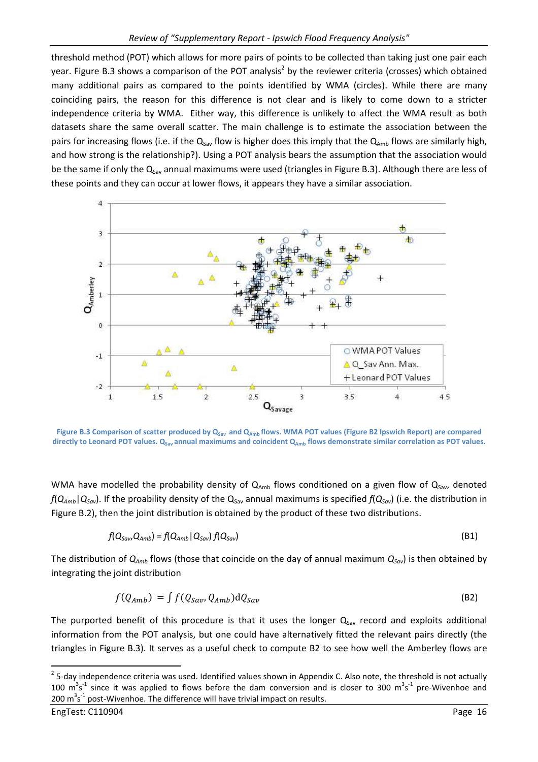threshold method (POT) which allows for more pairs of points to be collected than taking just one pair each year. Figure B.3 shows a comparison of the POT analysis<sup>2</sup> by the reviewer criteria (crosses) which obtained many additional pairs as compared to the points identified by WMA (circles). While there are many coinciding pairs, the reason for this difference is not clear and is likely to come down to a stricter independence criteria by WMA. Either way, this difference is unlikely to affect the WMA result as both datasets share the same overall scatter. The main challenge is to estimate the association between the pairs for increasing flows (i.e. if the  $Q_{Sav}$  flow is higher does this imply that the  $Q_{Amb}$  flows are similarly high, and how strong is the relationship?). Using a POT analysis bears the assumption that the association would be the same if only the  $Q_{Sav}$  annual maximums were used (triangles in Figure B.3). Although there are less of these points and they can occur at lower flows, it appears they have a similar association.



**Figure B.3 Comparison of scatter produced by QSav and QAmb flows. WMA POT values (Figure B2 Ipswich Report) are compared directly to Leonard POT values. QSav annual maximums and coincident QAmb flows demonstrate similar correlation as POT values.**

WMA have modelled the probability density of  $Q_{Amb}$  flows conditioned on a given flow of  $Q_{Sav}$ , denoted  $f(Q_{Amb}|Q_{Sav})$ . If the proability density of the  $Q_{Sav}$  annual maximums is specified  $f(Q_{Sav})$  (i.e. the distribution in Figure B.2), then the joint distribution is obtained by the product of these two distributions.

$$
f(Q_{Sav}, Q_{Amb}) = f(Q_{Amb} | Q_{Sav}) f(Q_{Sav})
$$
\n(B1)

The distribution of  $Q_{Amb}$  flows (those that coincide on the day of annual maximum  $Q_{Sav}$ ) is then obtained by integrating the joint distribution

$$
f(Q_{Amb}) = \int f(Q_{Sav}, Q_{Amb}) dQ_{Sav}
$$
 (B2)

The purported benefit of this procedure is that it uses the longer  $Q_{\text{Sav}}$  record and exploits additional information from the POT analysis, but one could have alternatively fitted the relevant pairs directly (the triangles in Figure B.3). It serves as a useful check to compute B2 to see how well the Amberley flows are

l

 $^2$  5-day independence criteria was used. Identified values shown in Appendix C. Also note, the threshold is not actually 100  $m^3s^1$  since it was applied to flows before the dam conversion and is closer to 300  $m^3s^1$  pre-Wivenhoe and 200  $\text{m}^3\text{s}^{-1}$  post-Wivenhoe. The difference will have trivial impact on results.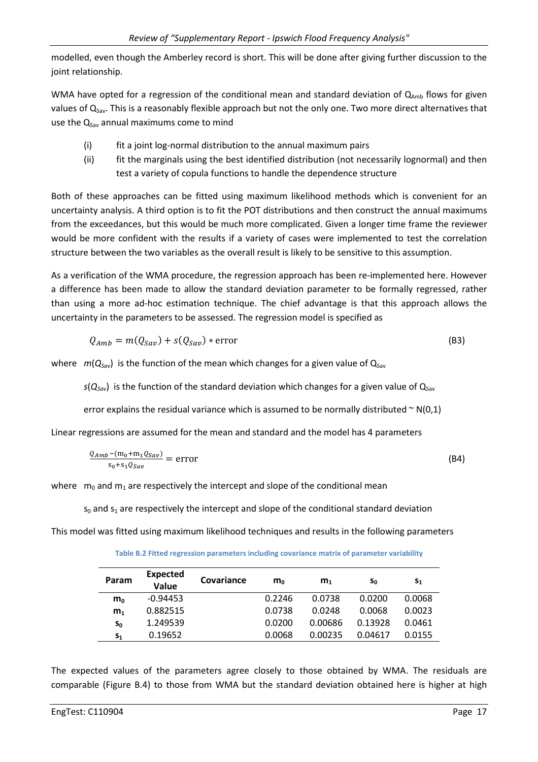modelled, even though the Amberley record is short. This will be done after giving further discussion to the joint relationship.

WMA have opted for a regression of the conditional mean and standard deviation of  $Q_{amb}$  flows for given values of Q<sub>Sav</sub>. This is a reasonably flexible approach but not the only one. Two more direct alternatives that use the  $Q_{Sav}$  annual maximums come to mind

- (i) fit a joint log-normal distribution to the annual maximum pairs
- (ii) fit the marginals using the best identified distribution (not necessarily lognormal) and then test a variety of copula functions to handle the dependence structure

Both of these approaches can be fitted using maximum likelihood methods which is convenient for an uncertainty analysis. A third option is to fit the POT distributions and then construct the annual maximums from the exceedances, but this would be much more complicated. Given a longer time frame the reviewer would be more confident with the results if a variety of cases were implemented to test the correlation structure between the two variables as the overall result is likely to be sensitive to this assumption.

As a verification of the WMA procedure, the regression approach has been re-implemented here. However a difference has been made to allow the standard deviation parameter to be formally regressed, rather than using a more ad-hoc estimation technique. The chief advantage is that this approach allows the uncertainty in the parameters to be assessed. The regression model is specified as

$$
Q_{Amb} = m(Q_{Sav}) + s(Q_{Sav}) * error
$$
 (B3)

where  $m(Q_{\text{Sav}})$  is the function of the mean which changes for a given value of  $Q_{\text{Sav}}$ 

 $s(Q_{Sav})$  is the function of the standard deviation which changes for a given value of  $Q_{Sav}$ 

error explains the residual variance which is assumed to be normally distributed  $\sim N(0,1)$ 

Linear regressions are assumed for the mean and standard and the model has 4 parameters

$$
\frac{Q_{Amb} - (m_0 + m_1 Q_{Sav})}{s_0 + s_1 Q_{Sav}} = error \tag{B4}
$$

where  $m_0$  and  $m_1$  are respectively the intercept and slope of the conditional mean

 $s_0$  and  $s_1$  are respectively the intercept and slope of the conditional standard deviation

This model was fitted using maximum likelihood techniques and results in the following parameters

| Param          | Expected<br>Value | Covariance | $m_0$  | m <sub>1</sub> | Sο      | $S_{1}$ |
|----------------|-------------------|------------|--------|----------------|---------|---------|
| m <sub>0</sub> | $-0.94453$        |            | 0.2246 | 0.0738         | 0.0200  | 0.0068  |
| m <sub>1</sub> | 0.882515          |            | 0.0738 | 0.0248         | 0.0068  | 0.0023  |
| $S_0$          | 1.249539          |            | 0.0200 | 0.00686        | 0.13928 | 0.0461  |
| S <sub>1</sub> | 0.19652           |            | 0.0068 | 0.00235        | 0.04617 | 0.0155  |

**Table B.2 Fitted regression parameters including covariance matrix of parameter variability** 

The expected values of the parameters agree closely to those obtained by WMA. The residuals are comparable (Figure B.4) to those from WMA but the standard deviation obtained here is higher at high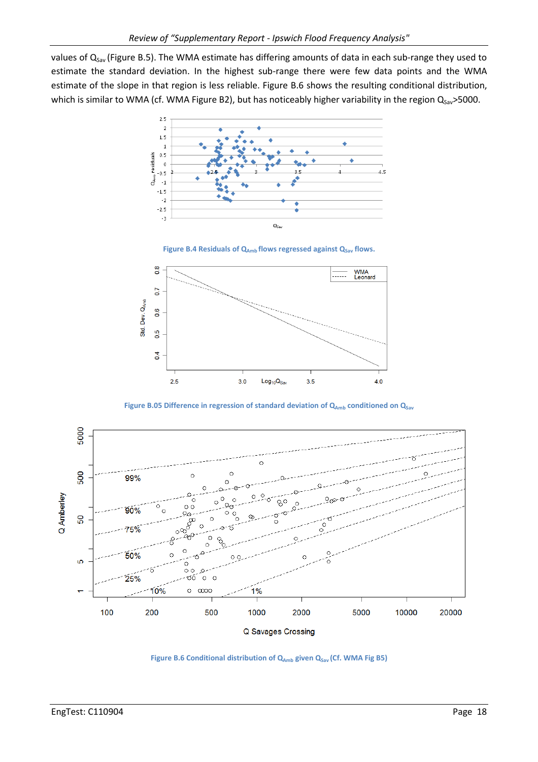values of  $Q_{Sav}$  (Figure B.5). The WMA estimate has differing amounts of data in each sub-range they used to estimate the standard deviation. In the highest sub-range there were few data points and the WMA estimate of the slope in that region is less reliable. Figure B.6 shows the resulting conditional distribution, which is similar to WMA (cf. WMA Figure B2), but has noticeably higher variability in the region  $Q_{Sav}$ >5000.







Figure B.05 Difference in regression of standard deviation of Q<sub>Amb</sub> conditioned on Q<sub>Sav</sub>



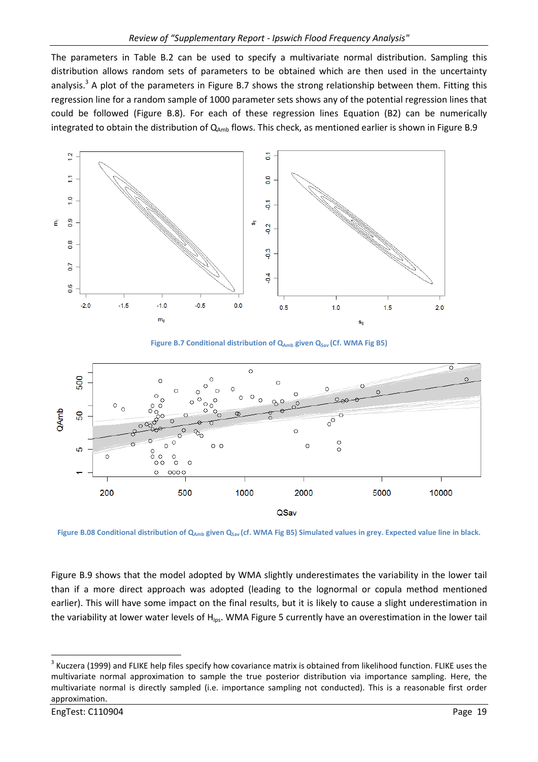The parameters in Table B.2 can be used to specify a multivariate normal distribution. Sampling this distribution allows random sets of parameters to be obtained which are then used in the uncertainty analysis.<sup>3</sup> A plot of the parameters in Figure B.7 shows the strong relationship between them. Fitting this regression line for a random sample of 1000 parameter sets shows any of the potential regression lines that could be followed (Figure B.8). For each of these regression lines Equation (B2) can be numerically integrated to obtain the distribution of  $Q_{Amb}$  flows. This check, as mentioned earlier is shown in Figure B.9



Figure B.7 Conditional distribution of Q<sub>Amb</sub> given Q<sub>Sav</sub> (Cf. WMA Fig B5)



**Figure B.08 Conditional distribution of QAmb given QSav (cf. WMA Fig B5) Simulated values in grey. Expected value line in black.**

Figure B.9 shows that the model adopted by WMA slightly underestimates the variability in the lower tail than if a more direct approach was adopted (leading to the lognormal or copula method mentioned earlier). This will have some impact on the final results, but it is likely to cause a slight underestimation in the variability at lower water levels of  $H_{\text{los}}$ . WMA Figure 5 currently have an overestimation in the lower tail

 $\overline{\phantom{0}}$ 

 $^3$  Kuczera (1999) and FLIKE help files specify how covariance matrix is obtained from likelihood function. FLIKE uses the multivariate normal approximation to sample the true posterior distribution via importance sampling. Here, the multivariate normal is directly sampled (i.e. importance sampling not conducted). This is a reasonable first order approximation.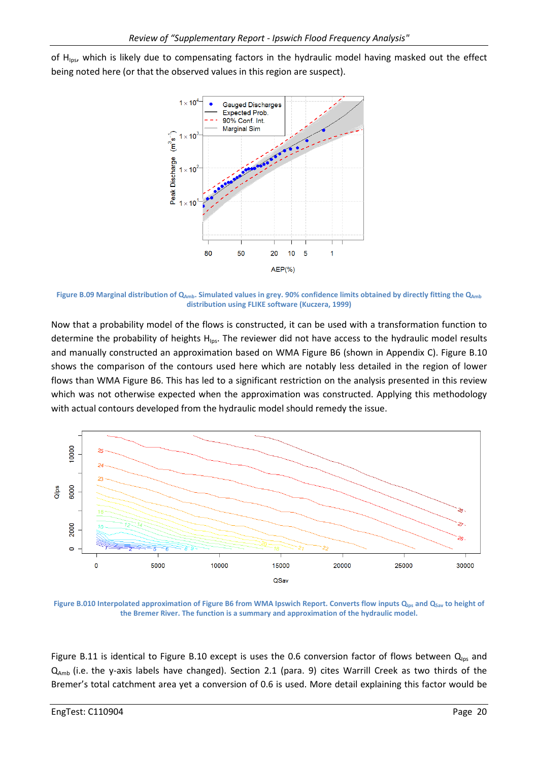of H<sub>ips</sub>, which is likely due to compensating factors in the hydraulic model having masked out the effect being noted here (or that the observed values in this region are suspect).



Figure B.09 Marginal distribution of Q<sub>Amb</sub>. Simulated values in grey. 90% confidence limits obtained by directly fitting the Q<sub>Amb</sub> **distribution using FLIKE software (Kuczera, 1999)**

Now that a probability model of the flows is constructed, it can be used with a transformation function to determine the probability of heights H<sub>Ips</sub>. The reviewer did not have access to the hydraulic model results and manually constructed an approximation based on WMA Figure B6 (shown in Appendix C). Figure B.10 shows the comparison of the contours used here which are notably less detailed in the region of lower flows than WMA Figure B6. This has led to a significant restriction on the analysis presented in this review which was not otherwise expected when the approximation was constructed. Applying this methodology with actual contours developed from the hydraulic model should remedy the issue.



**Figure B.010 Interpolated approximation of Figure B6 from WMA Ipswich Report. Converts flow inputs QIps and QSav to height of the Bremer River. The function is a summary and approximation of the hydraulic model.** 

Figure B.11 is identical to Figure B.10 except is uses the 0.6 conversion factor of flows between  $Q_{\text{los}}$  and  $Q_{Amb}$  (i.e. the y-axis labels have changed). Section 2.1 (para. 9) cites Warrill Creek as two thirds of the Bremer's total catchment area yet a conversion of 0.6 is used. More detail explaining this factor would be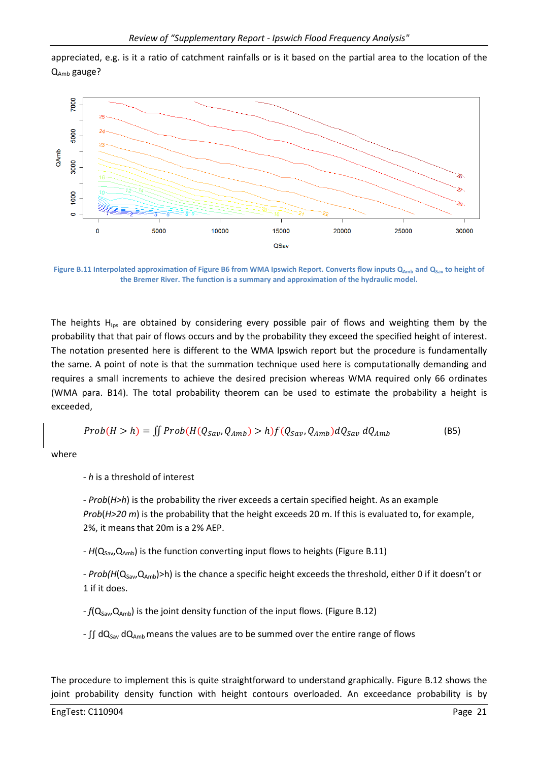appreciated, e.g. is it a ratio of catchment rainfalls or is it based on the partial area to the location of the QAmb gauge?



**Figure B.11 Interpolated approximation of Figure B6 from WMA Ipswich Report. Converts flow inputs Q<sub>Amb</sub> and Q<sub>Sav</sub> to height of the Bremer River. The function is a summary and approximation of the hydraulic model.** 

The heights  $H_{\text{ins}}$  are obtained by considering every possible pair of flows and weighting them by the probability that that pair of flows occurs and by the probability they exceed the specified height of interest. The notation presented here is different to the WMA Ipswich report but the procedure is fundamentally the same. A point of note is that the summation technique used here is computationally demanding and requires a small increments to achieve the desired precision whereas WMA required only 66 ordinates (WMA para. B14). The total probability theorem can be used to estimate the probability a height is exceeded,

$$
Prob(H > h) = \iint Prob(H(Q_{Sav}, Q_{Amb}) > h) f(Q_{Sav}, Q_{Amb}) dQ_{Sav} dQ_{Amb}
$$
 (B5)

where

*- h* is a threshold of interest

*- Prob*(*H>h*) is the probability the river exceeds a certain specified height. As an example *Prob*(*H>20 m*) is the probability that the height exceeds 20 m. If this is evaluated to, for example, 2%, it means that 20m is a 2% AEP.

*- H*(Q<sub>Sav</sub>,Q<sub>Amb</sub>) is the function converting input flows to heights (Figure B.11)

*- Prob(H*(Q<sub>Sav</sub>,Q<sub>Amb</sub>)>h) is the chance a specific height exceeds the threshold, either 0 if it doesn't or 1 if it does.

 $-f(Q_{Sav},Q_{Amb})$  is the joint density function of the input flows. (Figure B.12)

-  $\int$ [ $\int$ dQ<sub>Sav</sub> dQ<sub>Amb</sub> means the values are to be summed over the entire range of flows

The procedure to implement this is quite straightforward to understand graphically. Figure B.12 shows the joint probability density function with height contours overloaded. An exceedance probability is by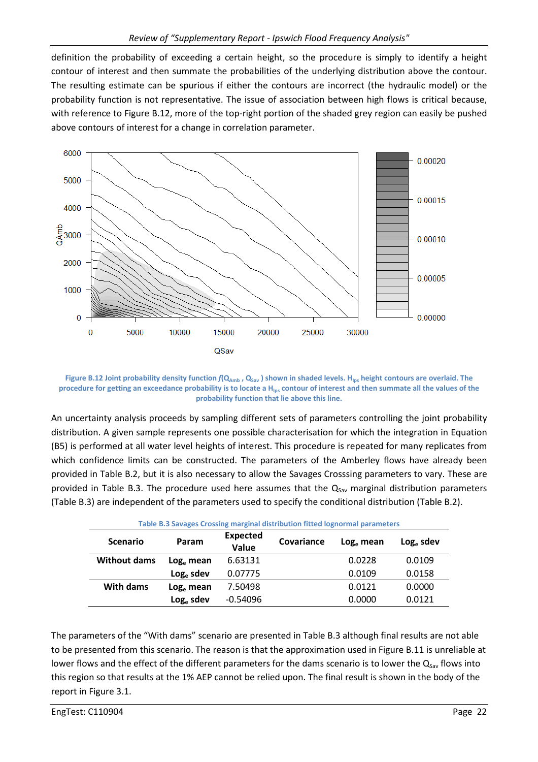definition the probability of exceeding a certain height, so the procedure is simply to identify a height contour of interest and then summate the probabilities of the underlying distribution above the contour. The resulting estimate can be spurious if either the contours are incorrect (the hydraulic model) or the probability function is not representative. The issue of association between high flows is critical because, with reference to Figure B.12, more of the top-right portion of the shaded grey region can easily be pushed above contours of interest for a change in correlation parameter.



**Figure B.12 Joint probability density function** *f***(QAmb , QSav ) shown in shaded levels. HIps height contours are overlaid. The procedure for getting an exceedance probability is to locate a HIps contour of interest and then summate all the values of the probability function that lie above this line.** 

An uncertainty analysis proceeds by sampling different sets of parameters controlling the joint probability distribution. A given sample represents one possible characterisation for which the integration in Equation (B5) is performed at all water level heights of interest. This procedure is repeated for many replicates from which confidence limits can be constructed. The parameters of the Amberley flows have already been provided in Table B.2, but it is also necessary to allow the Savages Crosssing parameters to vary. These are provided in Table B.3. The procedure used here assumes that the  $Q_{Sav}$  marginal distribution parameters (Table B.3) are independent of the parameters used to specify the conditional distribution (Table B.2).

| Table B.3 Savages Crossing marginal distribution fitted lognormal parameters |              |                          |            |           |              |  |  |  |  |  |
|------------------------------------------------------------------------------|--------------|--------------------------|------------|-----------|--------------|--|--|--|--|--|
| <b>Scenario</b>                                                              | Param        | <b>Expected</b><br>Value | Covariance | Log. mean | $Log_e$ sdev |  |  |  |  |  |
| <b>Without dams</b>                                                          | $Loge$ mean  | 6.63131                  |            | 0.0228    | 0.0109       |  |  |  |  |  |
|                                                                              | $Log_e$ sdev | 0.07775                  |            | 0.0109    | 0.0158       |  |  |  |  |  |
| With dams                                                                    | $Loge$ mean  | 7.50498                  |            | 0.0121    | 0.0000       |  |  |  |  |  |
|                                                                              | $Log_e$ sdev | $-0.54096$               |            | 0.0000    | 0.0121       |  |  |  |  |  |

The parameters of the "With dams" scenario are presented in Table B.3 although final results are not able to be presented from this scenario. The reason is that the approximation used in Figure B.11 is unreliable at lower flows and the effect of the different parameters for the dams scenario is to lower the  $Q_{Sav}$  flows into this region so that results at the 1% AEP cannot be relied upon. The final result is shown in the body of the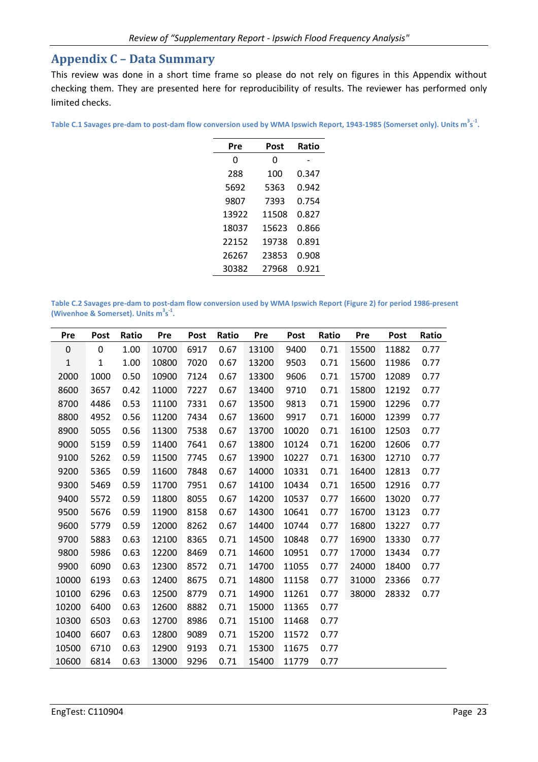### **Appendix C – Data Summary**

This review was done in a short time frame so please do not rely on figures in this Appendix without checking them. They are presented here for reproducibility of results. The reviewer has performed only limited checks.

**Table C.1 Savages pre-dam to post-dam flow conversion used by WMA Ipswich Report, 1943-1985 (Somerset only). Units m<sup>3</sup> s -1 .** 

Ļ.

| Pre   | Post  | Ratio |
|-------|-------|-------|
| 0     | 0     |       |
| 288   | 100   | 0.347 |
| 5692  | 5363  | 0.942 |
| 9807  | 7393  | 0.754 |
| 13922 | 11508 | 0.827 |
| 18037 | 15623 | 0.866 |
| 22152 | 19738 | 0.891 |
| 26267 | 23853 | 0.908 |
| 30382 | 27968 | 0.921 |
|       |       |       |

**Table C.2 Savages pre-dam to post-dam flow conversion used by WMA Ipswich Report (Figure 2) for period 1986-present (Wivenhoe & Somerset). Units m<sup>3</sup> s -1 .** 

| Pre         | <b>Post</b>  | Ratio | Pre   | <b>Post</b> | Ratio | Pre   | Post  | Ratio | Pre   | <b>Post</b> | Ratio |
|-------------|--------------|-------|-------|-------------|-------|-------|-------|-------|-------|-------------|-------|
| $\mathbf 0$ | 0            | 1.00  | 10700 | 6917        | 0.67  | 13100 | 9400  | 0.71  | 15500 | 11882       | 0.77  |
| $\mathbf 1$ | $\mathbf{1}$ | 1.00  | 10800 | 7020        | 0.67  | 13200 | 9503  | 0.71  | 15600 | 11986       | 0.77  |
| 2000        | 1000         | 0.50  | 10900 | 7124        | 0.67  | 13300 | 9606  | 0.71  | 15700 | 12089       | 0.77  |
| 8600        | 3657         | 0.42  | 11000 | 7227        | 0.67  | 13400 | 9710  | 0.71  | 15800 | 12192       | 0.77  |
| 8700        | 4486         | 0.53  | 11100 | 7331        | 0.67  | 13500 | 9813  | 0.71  | 15900 | 12296       | 0.77  |
| 8800        | 4952         | 0.56  | 11200 | 7434        | 0.67  | 13600 | 9917  | 0.71  | 16000 | 12399       | 0.77  |
| 8900        | 5055         | 0.56  | 11300 | 7538        | 0.67  | 13700 | 10020 | 0.71  | 16100 | 12503       | 0.77  |
| 9000        | 5159         | 0.59  | 11400 | 7641        | 0.67  | 13800 | 10124 | 0.71  | 16200 | 12606       | 0.77  |
| 9100        | 5262         | 0.59  | 11500 | 7745        | 0.67  | 13900 | 10227 | 0.71  | 16300 | 12710       | 0.77  |
| 9200        | 5365         | 0.59  | 11600 | 7848        | 0.67  | 14000 | 10331 | 0.71  | 16400 | 12813       | 0.77  |
| 9300        | 5469         | 0.59  | 11700 | 7951        | 0.67  | 14100 | 10434 | 0.71  | 16500 | 12916       | 0.77  |
| 9400        | 5572         | 0.59  | 11800 | 8055        | 0.67  | 14200 | 10537 | 0.77  | 16600 | 13020       | 0.77  |
| 9500        | 5676         | 0.59  | 11900 | 8158        | 0.67  | 14300 | 10641 | 0.77  | 16700 | 13123       | 0.77  |
| 9600        | 5779         | 0.59  | 12000 | 8262        | 0.67  | 14400 | 10744 | 0.77  | 16800 | 13227       | 0.77  |
| 9700        | 5883         | 0.63  | 12100 | 8365        | 0.71  | 14500 | 10848 | 0.77  | 16900 | 13330       | 0.77  |
| 9800        | 5986         | 0.63  | 12200 | 8469        | 0.71  | 14600 | 10951 | 0.77  | 17000 | 13434       | 0.77  |
| 9900        | 6090         | 0.63  | 12300 | 8572        | 0.71  | 14700 | 11055 | 0.77  | 24000 | 18400       | 0.77  |
| 10000       | 6193         | 0.63  | 12400 | 8675        | 0.71  | 14800 | 11158 | 0.77  | 31000 | 23366       | 0.77  |
| 10100       | 6296         | 0.63  | 12500 | 8779        | 0.71  | 14900 | 11261 | 0.77  | 38000 | 28332       | 0.77  |
| 10200       | 6400         | 0.63  | 12600 | 8882        | 0.71  | 15000 | 11365 | 0.77  |       |             |       |
| 10300       | 6503         | 0.63  | 12700 | 8986        | 0.71  | 15100 | 11468 | 0.77  |       |             |       |
| 10400       | 6607         | 0.63  | 12800 | 9089        | 0.71  | 15200 | 11572 | 0.77  |       |             |       |
| 10500       | 6710         | 0.63  | 12900 | 9193        | 0.71  | 15300 | 11675 | 0.77  |       |             |       |
| 10600       | 6814         | 0.63  | 13000 | 9296        | 0.71  | 15400 | 11779 | 0.77  |       |             |       |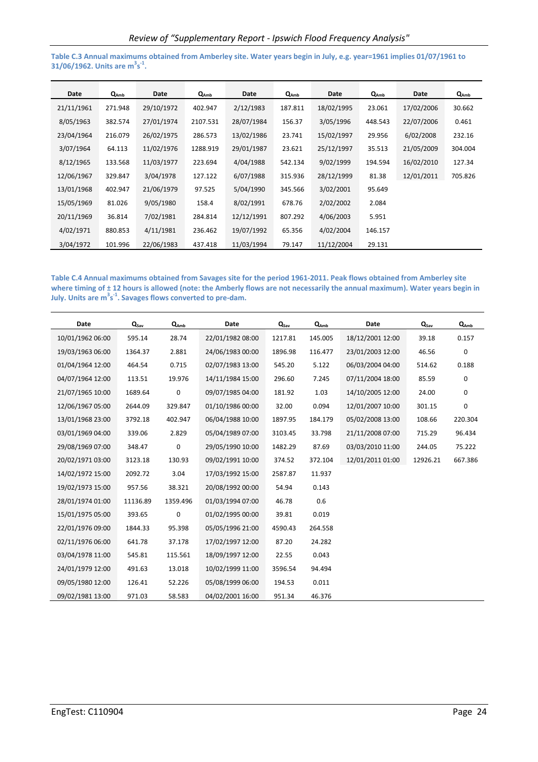**Table C.3 Annual maximums obtained from Amberley site. Water years begin in July, e.g. year=1961 implies 01/07/1961 to 31/06/1962. Units are m<sup>3</sup> s -1 .** 

| Date       | $Q_{Amb}$ | Date       | $Q_{Amb}$ | Date       | $Q_{Amb}$ | Date       | $Q_{Amb}$ | Date       | $Q_{Amb}$ |
|------------|-----------|------------|-----------|------------|-----------|------------|-----------|------------|-----------|
| 21/11/1961 | 271.948   | 29/10/1972 | 402.947   | 2/12/1983  | 187.811   | 18/02/1995 | 23.061    | 17/02/2006 | 30.662    |
| 8/05/1963  | 382.574   | 27/01/1974 | 2107.531  | 28/07/1984 | 156.37    | 3/05/1996  | 448.543   | 22/07/2006 | 0.461     |
| 23/04/1964 | 216.079   | 26/02/1975 | 286.573   | 13/02/1986 | 23.741    | 15/02/1997 | 29.956    | 6/02/2008  | 232.16    |
| 3/07/1964  | 64.113    | 11/02/1976 | 1288.919  | 29/01/1987 | 23.621    | 25/12/1997 | 35.513    | 21/05/2009 | 304.004   |
| 8/12/1965  | 133.568   | 11/03/1977 | 223.694   | 4/04/1988  | 542.134   | 9/02/1999  | 194.594   | 16/02/2010 | 127.34    |
| 12/06/1967 | 329.847   | 3/04/1978  | 127.122   | 6/07/1988  | 315.936   | 28/12/1999 | 81.38     | 12/01/2011 | 705.826   |
| 13/01/1968 | 402.947   | 21/06/1979 | 97.525    | 5/04/1990  | 345.566   | 3/02/2001  | 95.649    |            |           |
| 15/05/1969 | 81.026    | 9/05/1980  | 158.4     | 8/02/1991  | 678.76    | 2/02/2002  | 2.084     |            |           |
| 20/11/1969 | 36.814    | 7/02/1981  | 284.814   | 12/12/1991 | 807.292   | 4/06/2003  | 5.951     |            |           |
| 4/02/1971  | 880.853   | 4/11/1981  | 236.462   | 19/07/1992 | 65.356    | 4/02/2004  | 146.157   |            |           |
| 3/04/1972  | 101.996   | 22/06/1983 | 437.418   | 11/03/1994 | 79.147    | 11/12/2004 | 29.131    |            |           |

**Table C.4 Annual maximums obtained from Savages site for the period 1961-2011. Peak flows obtained from Amberley site where timing of ± 12 hours is allowed (note: the Amberly flows are not necessarily the annual maximum). Water years begin in July. Units are m<sup>3</sup> s -1. Savages flows converted to pre-dam.** 

| Date             | $Q_{Sav}$ | Q <sub>Amb</sub> | Date             | $Q_{Sav}$ | QAmb    | Date             | $Q_{\text{Sav}}$ | Q <sub>Amb</sub> |
|------------------|-----------|------------------|------------------|-----------|---------|------------------|------------------|------------------|
| 10/01/1962 06:00 | 595.14    | 28.74            | 22/01/1982 08:00 | 1217.81   | 145.005 | 18/12/2001 12:00 | 39.18            | 0.157            |
| 19/03/1963 06:00 | 1364.37   | 2.881            | 24/06/1983 00:00 | 1896.98   | 116.477 | 23/01/2003 12:00 | 46.56            | 0                |
| 01/04/1964 12:00 | 464.54    | 0.715            | 02/07/1983 13:00 | 545.20    | 5.122   | 06/03/2004 04:00 | 514.62           | 0.188            |
| 04/07/1964 12:00 | 113.51    | 19.976           | 14/11/1984 15:00 | 296.60    | 7.245   | 07/11/2004 18:00 | 85.59            | 0                |
| 21/07/1965 10:00 | 1689.64   | 0                | 09/07/1985 04:00 | 181.92    | 1.03    | 14/10/2005 12:00 | 24.00            | 0                |
| 12/06/1967 05:00 | 2644.09   | 329.847          | 01/10/1986 00:00 | 32.00     | 0.094   | 12/01/2007 10:00 | 301.15           | 0                |
| 13/01/1968 23:00 | 3792.18   | 402.947          | 06/04/1988 10:00 | 1897.95   | 184.179 | 05/02/2008 13:00 | 108.66           | 220.304          |
| 03/01/1969 04:00 | 339.06    | 2.829            | 05/04/1989 07:00 | 3103.45   | 33.798  | 21/11/2008 07:00 | 715.29           | 96.434           |
| 29/08/1969 07:00 | 348.47    | 0                | 29/05/1990 10:00 | 1482.29   | 87.69   | 03/03/2010 11:00 | 244.05           | 75.222           |
| 20/02/1971 03:00 | 3123.18   | 130.93           | 09/02/1991 10:00 | 374.52    | 372.104 | 12/01/2011 01:00 | 12926.21         | 667.386          |
| 14/02/1972 15:00 | 2092.72   | 3.04             | 17/03/1992 15:00 | 2587.87   | 11.937  |                  |                  |                  |
| 19/02/1973 15:00 | 957.56    | 38.321           | 20/08/1992 00:00 | 54.94     | 0.143   |                  |                  |                  |
| 28/01/1974 01:00 | 11136.89  | 1359.496         | 01/03/1994 07:00 | 46.78     | 0.6     |                  |                  |                  |
| 15/01/1975 05:00 | 393.65    | 0                | 01/02/1995 00:00 | 39.81     | 0.019   |                  |                  |                  |
| 22/01/1976 09:00 | 1844.33   | 95.398           | 05/05/1996 21:00 | 4590.43   | 264.558 |                  |                  |                  |
| 02/11/1976 06:00 | 641.78    | 37.178           | 17/02/1997 12:00 | 87.20     | 24.282  |                  |                  |                  |
| 03/04/1978 11:00 | 545.81    | 115.561          | 18/09/1997 12:00 | 22.55     | 0.043   |                  |                  |                  |
| 24/01/1979 12:00 | 491.63    | 13.018           | 10/02/1999 11:00 | 3596.54   | 94.494  |                  |                  |                  |
| 09/05/1980 12:00 | 126.41    | 52.226           | 05/08/1999 06:00 | 194.53    | 0.011   |                  |                  |                  |
| 09/02/1981 13:00 | 971.03    | 58.583           | 04/02/2001 16:00 | 951.34    | 46.376  |                  |                  |                  |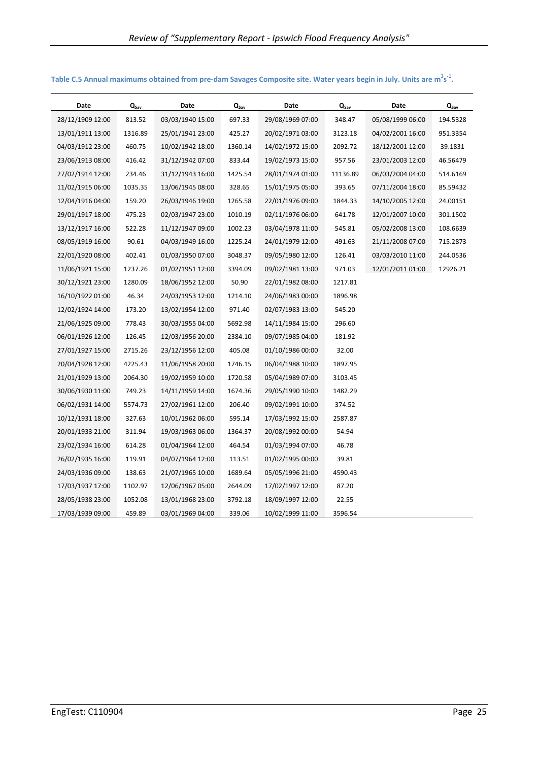| Date             | $Q_{\text{sav}}$ | Date             | $\mathbf{Q}_{\mathsf{sav}}$ | Date             | $Q_{\text{Sav}}$ | Date             | $Q_{\text{sav}}$ |
|------------------|------------------|------------------|-----------------------------|------------------|------------------|------------------|------------------|
| 28/12/1909 12:00 | 813.52           | 03/03/1940 15:00 | 697.33                      | 29/08/1969 07:00 | 348.47           | 05/08/1999 06:00 | 194.5328         |
| 13/01/1911 13:00 | 1316.89          | 25/01/1941 23:00 | 425.27                      | 20/02/1971 03:00 | 3123.18          | 04/02/2001 16:00 | 951.3354         |
| 04/03/1912 23:00 | 460.75           | 10/02/1942 18:00 | 1360.14                     | 14/02/1972 15:00 | 2092.72          | 18/12/2001 12:00 | 39.1831          |
| 23/06/1913 08:00 | 416.42           | 31/12/1942 07:00 | 833.44                      | 19/02/1973 15:00 | 957.56           | 23/01/2003 12:00 | 46.56479         |
| 27/02/1914 12:00 | 234.46           | 31/12/1943 16:00 | 1425.54                     | 28/01/1974 01:00 | 11136.89         | 06/03/2004 04:00 | 514.6169         |
| 11/02/1915 06:00 | 1035.35          | 13/06/1945 08:00 | 328.65                      | 15/01/1975 05:00 | 393.65           | 07/11/2004 18:00 | 85.59432         |
| 12/04/1916 04:00 | 159.20           | 26/03/1946 19:00 | 1265.58                     | 22/01/1976 09:00 | 1844.33          | 14/10/2005 12:00 | 24.00151         |
| 29/01/1917 18:00 | 475.23           | 02/03/1947 23:00 | 1010.19                     | 02/11/1976 06:00 | 641.78           | 12/01/2007 10:00 | 301.1502         |
| 13/12/1917 16:00 | 522.28           | 11/12/1947 09:00 | 1002.23                     | 03/04/1978 11:00 | 545.81           | 05/02/2008 13:00 | 108.6639         |
| 08/05/1919 16:00 | 90.61            | 04/03/1949 16:00 | 1225.24                     | 24/01/1979 12:00 | 491.63           | 21/11/2008 07:00 | 715.2873         |
| 22/01/1920 08:00 | 402.41           | 01/03/1950 07:00 | 3048.37                     | 09/05/1980 12:00 | 126.41           | 03/03/2010 11:00 | 244.0536         |
| 11/06/1921 15:00 | 1237.26          | 01/02/1951 12:00 | 3394.09                     | 09/02/1981 13:00 | 971.03           | 12/01/2011 01:00 | 12926.21         |
| 30/12/1921 23:00 | 1280.09          | 18/06/1952 12:00 | 50.90                       | 22/01/1982 08:00 | 1217.81          |                  |                  |
| 16/10/1922 01:00 | 46.34            | 24/03/1953 12:00 | 1214.10                     | 24/06/1983 00:00 | 1896.98          |                  |                  |
| 12/02/1924 14:00 | 173.20           | 13/02/1954 12:00 | 971.40                      | 02/07/1983 13:00 | 545.20           |                  |                  |
| 21/06/1925 09:00 | 778.43           | 30/03/1955 04:00 | 5692.98                     | 14/11/1984 15:00 | 296.60           |                  |                  |
| 06/01/1926 12:00 | 126.45           | 12/03/1956 20:00 | 2384.10                     | 09/07/1985 04:00 | 181.92           |                  |                  |
| 27/01/1927 15:00 | 2715.26          | 23/12/1956 12:00 | 405.08                      | 01/10/1986 00:00 | 32.00            |                  |                  |
| 20/04/1928 12:00 | 4225.43          | 11/06/1958 20:00 | 1746.15                     | 06/04/1988 10:00 | 1897.95          |                  |                  |
| 21/01/1929 13:00 | 2064.30          | 19/02/1959 10:00 | 1720.58                     | 05/04/1989 07:00 | 3103.45          |                  |                  |
| 30/06/1930 11:00 | 749.23           | 14/11/1959 14:00 | 1674.36                     | 29/05/1990 10:00 | 1482.29          |                  |                  |
| 06/02/1931 14:00 | 5574.73          | 27/02/1961 12:00 | 206.40                      | 09/02/1991 10:00 | 374.52           |                  |                  |
| 10/12/1931 18:00 | 327.63           | 10/01/1962 06:00 | 595.14                      | 17/03/1992 15:00 | 2587.87          |                  |                  |
| 20/01/1933 21:00 | 311.94           | 19/03/1963 06:00 | 1364.37                     | 20/08/1992 00:00 | 54.94            |                  |                  |
| 23/02/1934 16:00 | 614.28           | 01/04/1964 12:00 | 464.54                      | 01/03/1994 07:00 | 46.78            |                  |                  |
| 26/02/1935 16:00 | 119.91           | 04/07/1964 12:00 | 113.51                      | 01/02/1995 00:00 | 39.81            |                  |                  |
| 24/03/1936 09:00 | 138.63           | 21/07/1965 10:00 | 1689.64                     | 05/05/1996 21:00 | 4590.43          |                  |                  |
| 17/03/1937 17:00 | 1102.97          | 12/06/1967 05:00 | 2644.09                     | 17/02/1997 12:00 | 87.20            |                  |                  |
| 28/05/1938 23:00 | 1052.08          | 13/01/1968 23:00 | 3792.18                     | 18/09/1997 12:00 | 22.55            |                  |                  |
| 17/03/1939 09:00 | 459.89           | 03/01/1969 04:00 | 339.06                      | 10/02/1999 11:00 | 3596.54          |                  |                  |

**Table C.5 Annual maximums obtained from pre-dam Savages Composite site. Water years begin in July. Units are m<sup>3</sup> s -1 .**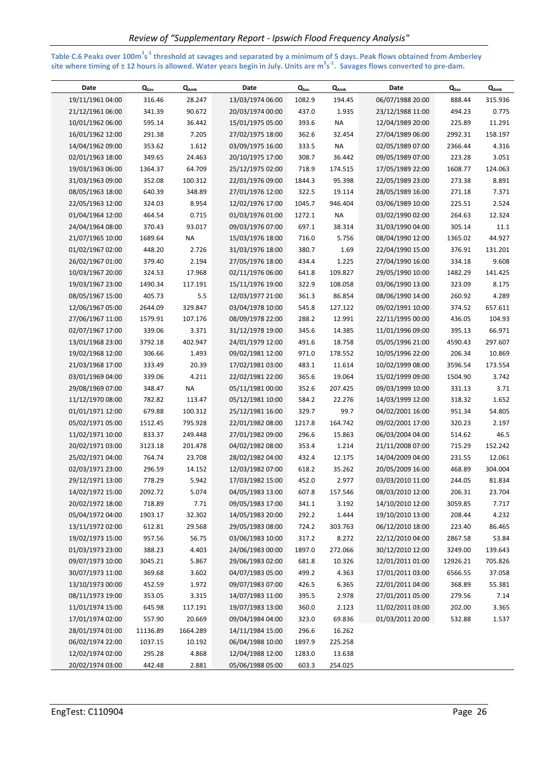**Table C.6 Peaks over 100m<sup>3</sup> s -1 threshold at savages and separated by a minimum of 5 days. Peak flows obtained from Amberley site where timing of ± 12 hours is allowed. Water years begin in July. Units are m<sup>3</sup> s -1. Savages flows converted to pre-dam.** 

| Date             | $Q_{\text{Sav}}$ | $Q_{Amb}$ | Date             | $Q_{\text{sav}}$ | $Q_{Amb}$ | Date             | $Q_{\text{Sav}}$ | $Q_{Amb}$ |
|------------------|------------------|-----------|------------------|------------------|-----------|------------------|------------------|-----------|
| 19/11/1961 04:00 | 316.46           | 28.247    | 13/03/1974 06:00 | 1082.9           | 194.45    | 06/07/1988 20:00 | 888.44           | 315.936   |
| 21/12/1961 06:00 | 341.39           | 90.672    | 20/03/1974 00:00 | 437.0            | 1.935     | 23/12/1988 11:00 | 494.23           | 0.775     |
| 10/01/1962 06:00 | 595.14           | 36.442    | 15/01/1975 05:00 | 393.6            | <b>NA</b> | 12/04/1989 20:00 | 225.89           | 11.291    |
| 16/01/1962 12:00 | 291.38           | 7.205     | 27/02/1975 18:00 | 362.6            | 32.454    | 27/04/1989 06:00 | 2992.31          | 158.197   |
| 14/04/1962 09:00 | 353.62           | 1.612     | 03/09/1975 16:00 | 333.5            | <b>NA</b> | 02/05/1989 07:00 | 2366.44          | 4.316     |
| 02/01/1963 18:00 | 349.65           | 24.463    | 20/10/1975 17:00 | 308.7            | 36.442    | 09/05/1989 07:00 | 223.28           | 3.051     |
| 19/03/1963 06:00 | 1364.37          | 64.709    | 25/12/1975 02:00 | 718.9            | 174.515   | 17/05/1989 22:00 | 1608.77          | 124.063   |
| 31/03/1963 09:00 | 352.08           | 100.312   | 22/01/1976 09:00 | 1844.3           | 95.398    | 22/05/1989 23:00 | 273.38           | 8.891     |
| 08/05/1963 18:00 | 640.39           | 348.89    | 27/01/1976 12:00 | 322.5            | 19.114    | 28/05/1989 16:00 | 271.18           | 7.371     |
| 22/05/1963 12:00 | 324.03           | 8.954     | 12/02/1976 17:00 | 1045.7           | 946.404   | 03/06/1989 10:00 | 225.51           | 2.524     |
| 01/04/1964 12:00 | 464.54           | 0.715     | 01/03/1976 01:00 | 1272.1           | <b>NA</b> | 03/02/1990 02:00 | 264.63           | 12.324    |
| 24/04/1964 08:00 | 370.43           | 93.017    | 09/03/1976 07:00 | 697.1            | 38.314    | 31/03/1990 04:00 | 305.14           | 11.1      |
| 21/07/1965 10:00 | 1689.64          | NA        | 15/03/1976 18:00 | 716.0            | 5.756     | 08/04/1990 12:00 | 1365.02          | 44.927    |
| 01/02/1967 02:00 | 448.20           | 2.726     | 31/03/1976 18:00 | 380.7            | 1.69      | 22/04/1990 15:00 | 376.91           | 131.201   |
| 26/02/1967 01:00 | 379.40           | 2.194     | 27/05/1976 18:00 | 434.4            | 1.225     | 27/04/1990 16:00 | 334.18           | 9.608     |
| 10/03/1967 20:00 | 324.53           | 17.968    | 02/11/1976 06:00 | 641.8            | 109.827   | 29/05/1990 10:00 | 1482.29          | 141.425   |
| 19/03/1967 23:00 | 1490.34          | 117.191   | 15/11/1976 19:00 | 322.9            | 108.058   | 03/06/1990 13:00 | 323.09           | 8.175     |
| 08/05/1967 15:00 | 405.73           | 5.5       | 12/03/1977 21:00 | 361.3            | 86.854    | 08/06/1990 14:00 | 260.92           | 4.289     |
| 12/06/1967 05:00 | 2644.09          | 329.847   | 03/04/1978 10:00 | 545.8            | 127.122   | 09/02/1991 10:00 | 374.52           | 657.611   |
| 27/06/1967 11:00 | 1579.91          | 107.176   | 08/09/1978 22:00 | 288.2            | 12.991    | 22/11/1995 00:00 | 436.05           | 104.93    |
| 02/07/1967 17:00 | 339.06           | 3.371     | 31/12/1978 19:00 | 345.6            | 14.385    | 11/01/1996 09:00 | 395.13           | 66.971    |
| 13/01/1968 23:00 | 3792.18          | 402.947   | 24/01/1979 12:00 | 491.6            | 18.758    | 05/05/1996 21:00 | 4590.43          | 297.607   |
| 19/02/1968 12:00 | 306.66           | 1.493     | 09/02/1981 12:00 | 971.0            | 178.552   | 10/05/1996 22:00 | 206.34           | 10.869    |
| 21/03/1968 17:00 | 333.49           | 20.39     | 17/02/1981 03:00 | 483.1            | 11.614    | 10/02/1999 08:00 | 3596.54          | 173.554   |
| 03/01/1969 04:00 | 339.06           | 4.211     | 22/02/1981 22:00 | 365.6            | 19.064    | 15/02/1999 09:00 | 1504.90          | 3.742     |
| 29/08/1969 07:00 | 348.47           | <b>NA</b> | 05/11/1981 00:00 | 352.6            | 207.425   | 09/03/1999 10:00 | 331.13           | 3.71      |
| 11/12/1970 08:00 | 782.82           | 113.47    | 05/12/1981 10:00 | 584.2            | 22.276    | 14/03/1999 12:00 | 318.32           | 1.652     |
| 01/01/1971 12:00 | 679.88           | 100.312   | 25/12/1981 16:00 | 329.7            | 99.7      | 04/02/2001 16:00 | 951.34           | 54.805    |
| 05/02/1971 05:00 | 1512.45          | 795.928   | 22/01/1982 08:00 | 1217.8           | 164.742   | 09/02/2001 17:00 | 320.23           | 2.197     |
| 11/02/1971 10:00 | 833.37           | 249.448   | 27/01/1982 09:00 | 296.6            | 15.863    | 06/03/2004 04:00 | 514.62           | 46.5      |
| 20/02/1971 03:00 | 3123.18          | 201.478   | 04/02/1982 08:00 | 353.4            | 1.214     | 21/11/2008 07:00 | 715.29           | 152.242   |
| 25/02/1971 04:00 | 764.74           | 23.708    | 28/02/1982 04:00 | 432.4            | 12.175    | 14/04/2009 04:00 | 231.55           | 12.061    |
| 02/03/1971 23:00 | 296.59           | 14.152    | 12/03/1982 07:00 | 618.2            | 35.262    | 20/05/2009 16:00 | 468.89           | 304.004   |
| 29/12/1971 13:00 | 778.29           | 5.942     | 17/03/1982 15:00 | 452.0            | 2.977     | 03/03/2010 11:00 | 244.05           | 81.834    |
| 14/02/1972 15:00 | 2092.72          | 5.074     | 04/05/1983 13:00 | 607.8            | 157.546   | 08/03/2010 12:00 | 206.31           | 23.704    |
| 20/02/1972 18:00 | 718.89           | 7.71      | 09/05/1983 17:00 | 341.1            | 3.192     | 14/10/2010 12:00 | 3059.85          | 7.717     |
| 05/04/1972 04:00 | 1903.17          | 32.302    | 14/05/1983 20:00 | 292.2            | 1.444     | 19/10/2010 13:00 | 208.44           | 4.232     |
| 13/11/1972 02:00 | 612.81           | 29.568    | 29/05/1983 08:00 | 724.2            | 303.763   | 06/12/2010 18:00 | 223.40           | 86.465    |
| 19/02/1973 15:00 | 957.56           | 56.75     | 03/06/1983 10:00 | 317.2            | 8.272     | 22/12/2010 04:00 | 2867.58          | 53.84     |
| 01/03/1973 23:00 | 388.23           | 4.403     | 24/06/1983 00:00 | 1897.0           | 272.066   | 30/12/2010 12:00 | 3249.00          | 139.643   |
| 09/07/1973 10:00 | 3045.21          | 5.867     | 29/06/1983 02:00 | 681.8            | 10.326    | 12/01/2011 01:00 | 12926.21         | 705.826   |
| 30/07/1973 11:00 | 369.68           | 3.602     | 04/07/1983 05:00 | 499.2            | 4.363     | 17/01/2011 03:00 | 6566.55          | 37.058    |
| 13/10/1973 00:00 | 452.59           | 1.972     | 09/07/1983 07:00 | 426.5            | 6.365     | 22/01/2011 04:00 | 368.89           | 55.381    |
| 08/11/1973 19:00 | 353.05           | 3.315     | 14/07/1983 11:00 | 395.5            | 2.978     | 27/01/2011 05:00 | 279.56           | 7.14      |
| 11/01/1974 15:00 | 645.98           | 117.191   | 19/07/1983 13:00 | 360.0            | 2.123     | 11/02/2011 03:00 | 202.00           | 3.365     |
| 17/01/1974 02:00 | 557.90           | 20.669    | 09/04/1984 04:00 | 323.0            | 69.836    | 01/03/2011 20:00 | 532.88           | 1.537     |
| 28/01/1974 01:00 | 11136.89         | 1664.289  | 14/11/1984 15:00 | 296.6            | 16.262    |                  |                  |           |
| 06/02/1974 22:00 | 1037.15          | 10.192    | 06/04/1988 10:00 | 1897.9           | 225.258   |                  |                  |           |
| 12/02/1974 02:00 | 295.28           | 4.868     | 12/04/1988 12:00 | 1283.0           | 13.638    |                  |                  |           |
| 20/02/1974 03:00 | 442.48           | 2.881     | 05/06/1988 05:00 | 603.3            | 254.025   |                  |                  |           |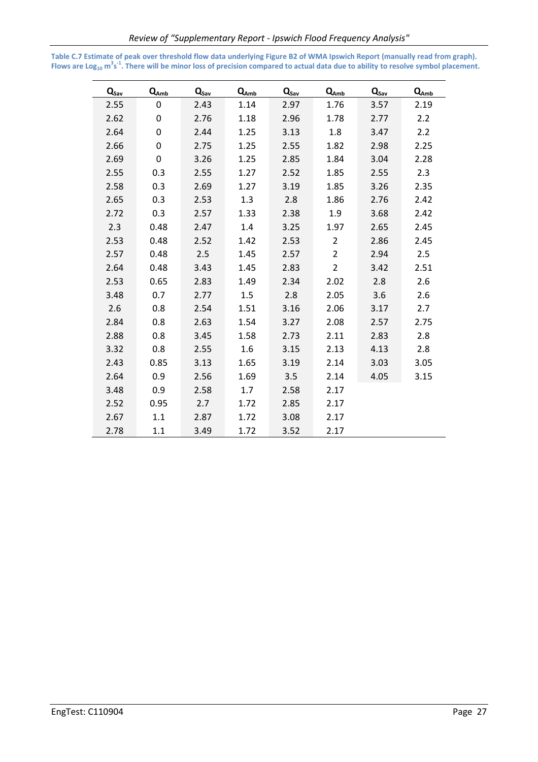| $Q_{Sav}$ | $Q_{Amb}$   | $Q_{\text{sav}}$ | $Q_{Amb}$ | $Q_{\text{sav}}$ | $Q_{Amb}$      | $Q_{\text{sav}}$ | $Q_{Amb}$ |
|-----------|-------------|------------------|-----------|------------------|----------------|------------------|-----------|
| 2.55      | $\mathbf 0$ | 2.43             | 1.14      | 2.97             | 1.76           | 3.57             | 2.19      |
| 2.62      | 0           | 2.76             | 1.18      | 2.96             | 1.78           | 2.77             | 2.2       |
| 2.64      | 0           | 2.44             | 1.25      | 3.13             | 1.8            | 3.47             | 2.2       |
| 2.66      | 0           | 2.75             | 1.25      | 2.55             | 1.82           | 2.98             | 2.25      |
| 2.69      | $\mathbf 0$ | 3.26             | 1.25      | 2.85             | 1.84           | 3.04             | 2.28      |
| 2.55      | 0.3         | 2.55             | 1.27      | 2.52             | 1.85           | 2.55             | 2.3       |
| 2.58      | 0.3         | 2.69             | 1.27      | 3.19             | 1.85           | 3.26             | 2.35      |
| 2.65      | 0.3         | 2.53             | 1.3       | 2.8              | 1.86           | 2.76             | 2.42      |
| 2.72      | 0.3         | 2.57             | 1.33      | 2.38             | 1.9            | 3.68             | 2.42      |
| 2.3       | 0.48        | 2.47             | 1.4       | 3.25             | 1.97           | 2.65             | 2.45      |
| 2.53      | 0.48        | 2.52             | 1.42      | 2.53             | $\overline{2}$ | 2.86             | 2.45      |
| 2.57      | 0.48        | 2.5              | 1.45      | 2.57             | $\overline{2}$ | 2.94             | 2.5       |
| 2.64      | 0.48        | 3.43             | 1.45      | 2.83             | $\overline{2}$ | 3.42             | 2.51      |
| 2.53      | 0.65        | 2.83             | 1.49      | 2.34             | 2.02           | 2.8              | 2.6       |
| 3.48      | 0.7         | 2.77             | 1.5       | 2.8              | 2.05           | 3.6              | 2.6       |
| 2.6       | 0.8         | 2.54             | 1.51      | 3.16             | 2.06           | 3.17             | 2.7       |
| 2.84      | 0.8         | 2.63             | 1.54      | 3.27             | 2.08           | 2.57             | 2.75      |
| 2.88      | 0.8         | 3.45             | 1.58      | 2.73             | 2.11           | 2.83             | 2.8       |
| 3.32      | 0.8         | 2.55             | 1.6       | 3.15             | 2.13           | 4.13             | 2.8       |
| 2.43      | 0.85        | 3.13             | 1.65      | 3.19             | 2.14           | 3.03             | 3.05      |
| 2.64      | 0.9         | 2.56             | 1.69      | 3.5              | 2.14           | 4.05             | 3.15      |
| 3.48      | 0.9         | 2.58             | 1.7       | 2.58             | 2.17           |                  |           |
| 2.52      | 0.95        | 2.7              | 1.72      | 2.85             | 2.17           |                  |           |
| 2.67      | 1.1         | 2.87             | 1.72      | 3.08             | 2.17           |                  |           |
| 2.78      | 1.1         | 3.49             | 1.72      | 3.52             | 2.17           |                  |           |

**Table C.7 Estimate of peak over threshold flow data underlying Figure B2 of WMA Ipswich Report (manually read from graph). Flows are Log10 m 3 s -1. There will be minor loss of precision compared to actual data due to ability to resolve symbol placement.**